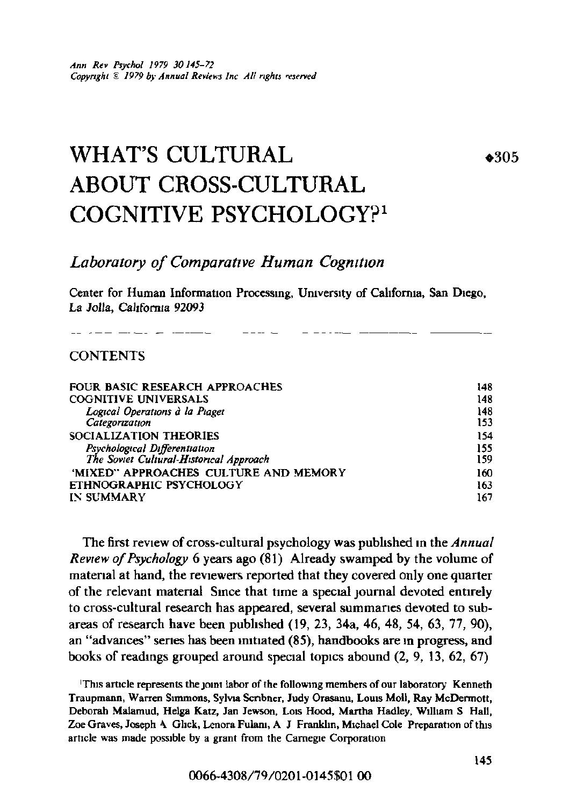# **WHAT'S CULTURAL ABOUT CROSS-CULTURAL COGNITIVE PSYCHOLOGY?1**

 $\blacklozenge 305$ 

#### Laboratory of Comparative Human Cognition

Center for Human Information Processing, University of California, San Diego, La Jolla, California 92093

 $- - - - - -$ 

#### **CONTENTS**

| 148 |
|-----|
| 148 |
| 148 |
| 153 |
| 154 |
| 155 |
| 159 |
| 160 |
| 163 |
| 167 |
|     |

The first review of cross-cultural psychology was published in the *Annual* Review of Psychology 6 years ago (81) Already swamped by the volume of material at hand, the reviewers reported that they covered only one quarter of the relevant material Since that time a special journal devoted entirely to cross-cultural research has appeared, several summaries devoted to subareas of research have been published (19, 23, 34a, 46, 48, 54, 63, 77, 90), an "advances" series has been initiated (85), handbooks are in progress, and books of readings grouped around special topics abound (2, 9, 13, 62, 67)

This article represents the joint labor of the following members of our laboratory Kenneth Traupmann, Warren Simmons, Sylvia Scribner, Judy Orasanu, Louis Moll, Ray McDermott, Deborah Malamud, Helga Katz, Jan Jewson, Lois Hood, Martha Hadley, William S Hall, Zoe Graves, Joseph A Glick, Lenora Fulani, A J Franklin, Michael Cole Preparation of this article was made possible by a grant from the Carnegie Corporation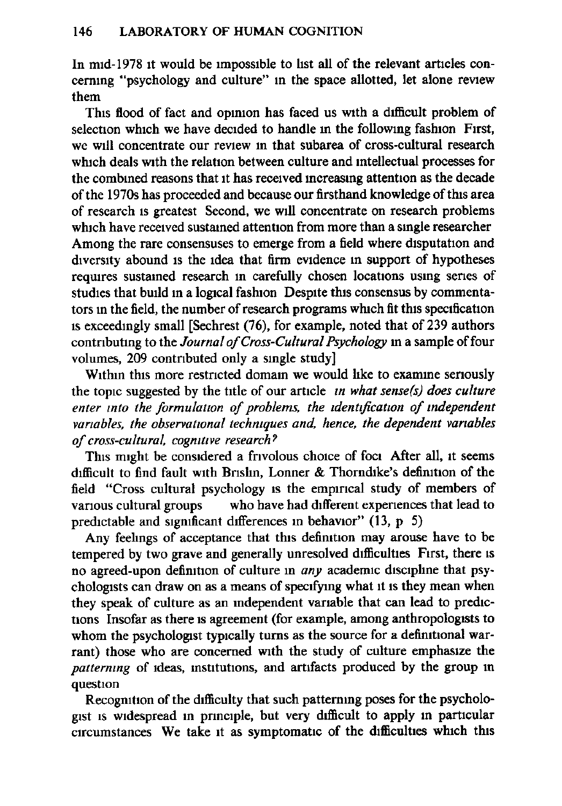In mid-1978 it would be impossible to list all of the relevant articles concemmg "psychology and culture" m the space allotted, let alone review them

This flood of fact and opinion has faced us with a difficult problem of selection which we have decided to handle in the following fashion First, we will concentrate our review m that subarea of cross-cultural research which deals with the relation between culture and mtellectual processes for the combined reasons that it has received increasing attention as the decade of the 1970s has proceeded and because our firsthand knowledge of this area of research 1s greatest Second, we will concentrate on research problems which have received sustained attention from more than a single researcher Among the rare consensuses to emerge from a field where disputation and diversity abound 1s the idea that firm evidence m support of hypotheses requires sustained research in carefully chosen locations using series of studies that build in a logical fashion Despite this consensus by commentators in the field, the number of research programs which fit this specification 1s exceedmgly small [Sechrest (76), for example, noted that of 239 authors contnbutmg to the *Journal of Cross-Cultural Psychology* ma sample of four volumes, 209 contnbuted only a smgle study)

Within this more restricted domain we would like to examine seriously the topic suggested by the title of our article *in what sense(s) does culture* enter into the formulation of problems, the identification of independent variables, the observational techniques and, hence, the dependent variables *of cross-cultural, cognltlve research?* 

This might be considered a frivolous choice of foci After all, it seems difficult to find fault with Brislin, Lonner & Thorndike's definition of the field "Cross cultural psychology is the empirical study of members of various cultural groups who have had different experiences that lead to predictable and significant differences in behavior" (13, p 5)

Any feelings of acceptance that this definition may arouse have to be tempered by two grave and generally unresolved difficulties First, there is no agreed-upon definition of culture in *any* academic discipline that psychologists can draw on as a means of specifying what it is they mean when they speak of culture as an independent variable that can lead to predicuons Insofar as there 1s agreement (for example, among anthropologists to whom the psychologist typically turns as the source for a definitional warrant) those who are concerned with the study of culture emphasize the *patterning* of ideas, institutions, and artifacts produced by the group in **question** 

Recognition of the difficulty that such patterning poses for the psychologist is widespread in principle, but very difficult to apply in particular circumstances We take it as symptomatic of the difficulties which this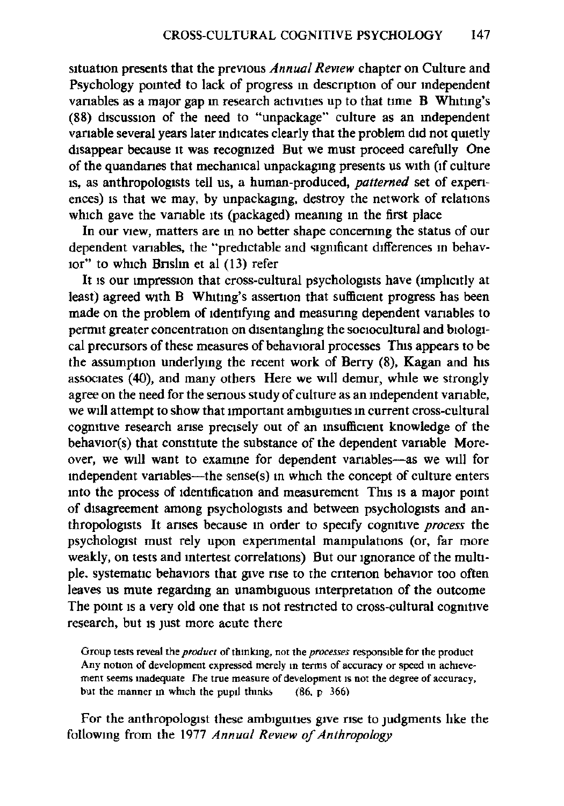situation presents that the previous *Annual Review* chapter on Culture and Psychology pointed to lack of progress in description of our independent variables as a major gap in research activities up to that time B Whiting's (88) discussion of the need to "unpackage" culture as an independent variable several years later indicates clearly that the problem did not quietly disappear because 1t was recogmzed But we must proceed carefully One of the quandanes that mechamcal unpackagmg presents us with (1f culture 1s, as anthropologists tell us, a human-produced, *patterned* set of experiences) is that we may, by unpackaging, destroy the network of relations which gave the variable its (packaged) meaning in the first place

In our view, matters are in no better shape concerning the status of our dependent variables, the "predictable and significant differences in behav-10r" to which Brislin et al (13) refer

It is our impression that cross-cultural psychologists have (implicitly at least) agreed with B Whiting's assertion that sufficient progress has been made on the problem of identifying and measuring dependent variables to permit greater concentration on disentangling the sociocultural and biological precursors of these measures of behavioral processes This appears to be the assumption underlying the recent work of Berry  $(8)$ , Kagan and his associates (40), and many others Here we will demur, while we strongly agree on the need for the serious study of culture as an independent variable, we will attempt to show that important ambiguities in current cross-cultural cognitive research anse precisely out of an insufficient knowledge of the behavior(s) that constitute the substance of the dependent variable Moreover, we will want to examine for dependent variables-as we will for independent variables--- the sense(s) in which the concept of culture enters mto the process of identification and measurement This is a major point of disagreement among psychologists and between psychologists and anthropologists It anses because in order to specify cognitive *process* the psychologist must rely upon experimental manipulations (or, far more weakly, on tests and mtertest correlations) But our ignorance of the multiple. systematic behaviors that give rise to the criterion behavior too often leaves us mute regarding an unambiguous interpretation of the outcome The point is a very old one that is not restricted to cross-cultural cognitive research, but is just more acute there

**Group tests reveal the** *product* **of thmkmg, not the** *processes* **responsible for the product**  Any notion of development expressed merely in terms of accuracy or speed in achieve**ment seems inadequate fhe true measure of development 1s not the degree of accuracy, bur the manner m which the pupil thmks. (86. p 366)** 

For the anthropologist these ambiguities give rise to judgments like the followmg from the 1977 *Annual Review of Anthropology*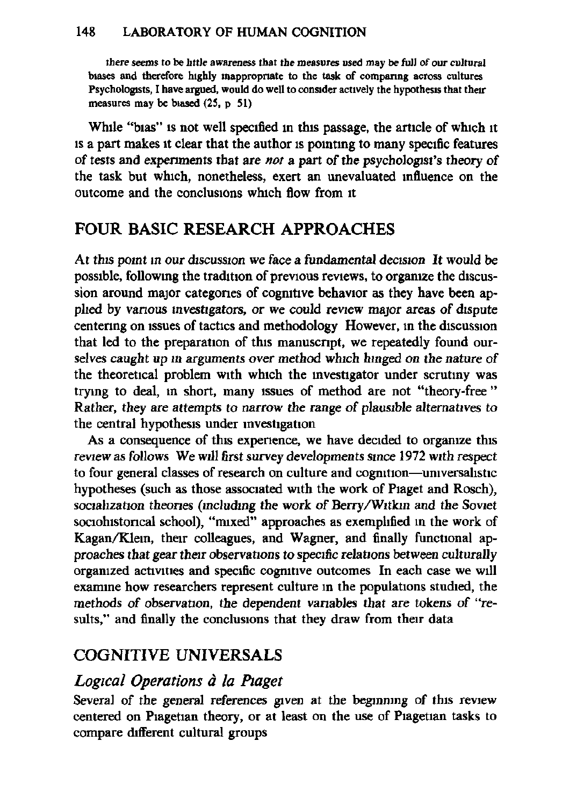#### 148 LABORATORY OF HUMAN COGNITION

there seems to be little awareness that the measures used may be full of our cultural biases and therefore highly inappropriate to the task of comparing across cultures Psychologists, I have argued, would do well to consider actively the hypothesis that their measures may be biased (25, p 51)

While "bias" is not well specified in this passage, the article of which it is a part makes it clear that the author is pointing to many specific features of tests and experiments that are not a part of the psychologist's theory of the task but which, nonetheless, exert an unevaluated influence on the outcome and the conclusions which flow from it

#### FOUR BASIC RESEARCH APPROACHES

At this point in our discussion we face a fundamental decision It would be possible, following the tradition of previous reviews, to organize the discussion around major categories of cognitive behavior as they have been applied by various investigators, or we could review major areas of dispute centering on issues of tactics and methodology However, in the discussion that led to the preparation of this manuscript, we repeatedly found ourselves caught up in arguments over method which hinged on the nature of the theoretical problem with which the investigator under scrutiny was trying to deal, in short, many issues of method are not "theory-free" Rather, they are attempts to narrow the range of plausible alternatives to the central hypothesis under investigation

As a consequence of this experience, we have decided to organize this review as follows We will first survey developments since 1972 with respect to four general classes of research on culture and cognition—universalistic hypotheses (such as those associated with the work of Piaget and Rosch), socialization theories (including the work of Berry/Witkin and the Soviet sociohistorical school), "mixed" approaches as exemplified in the work of Kagan/Klein, their colleagues, and Wagner, and finally functional approaches that gear their observations to specific relations between culturally organized activities and specific cognitive outcomes In each case we will examine how researchers represent culture in the populations studied, the methods of observation, the dependent variables that are tokens of "results," and finally the conclusions that they draw from their data

#### **COGNITIVE UNIVERSALS**

#### Logical Operations à la Piaget

Several of the general references given at the beginning of this review centered on Piagetian theory, or at least on the use of Piagetian tasks to compare different cultural groups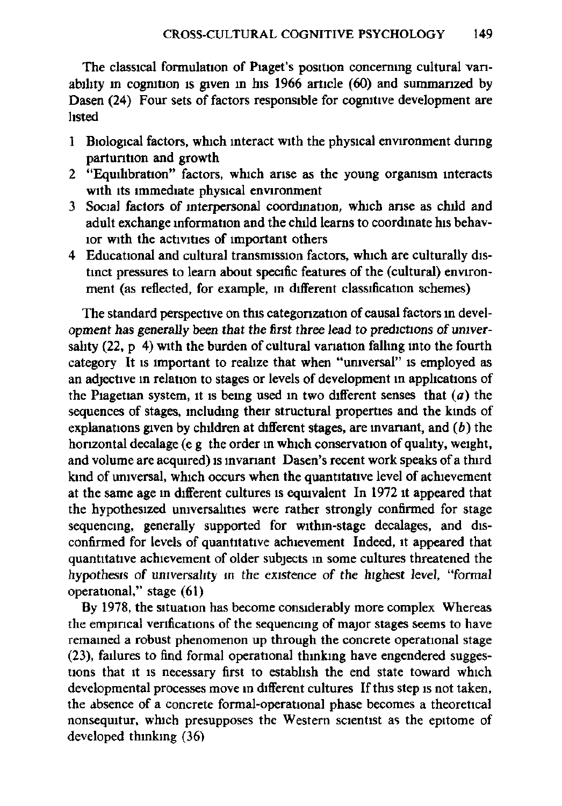The classical formulation of Piaget's position concerning cultural variability in cognition is given in his  $1966$  article (60) and summarized by Dasen (24) Four sets of factors responsible for cognitive development are hsted

- 1 Biological factors, which interact with the physical environment during parturition and growth
- **2 "Eqmhbratton" factors, which arise as the young orgamsm mteracts**  with its immediate physical environment
- 3 Social factors of interpersonal coordination, which arise as child and adult exchange information and the child learns to coordinate his behav-10r with the activities of important others
- 4 Educational and cultural transmission factors, which are culturally distinct pressures to learn about specific features of the (cultural) environment (as reflected, for example, in different classification schemes)

The standard perspective on this categorization of causal factors in development has generally been that the first three lead to predictions of universality (22,  $p$  4) with the burden of cultural variation falling into the fourth category It is important to realize that when "universal" is employed as an adjective in relation to stages or levels of development in applications of the Piagetian system, it is being used in two different senses that  $(a)$  the sequences of stages, including their structural properties and the kinds of explanations given by children at different stages, are invariant, and  $(b)$  the horizontal decalage (e g the order in which conservation of quality, weight, and volume are acquired) is invariant Dasen's recent work speaks of a third kind of universal, which occurs when the quantitative level of achievement at the same age in different cultures is equivalent In 1972 it appeared that the hypothesized universalities were rather strongly confirmed for stage sequencing, generally supported for within-stage decalages, and disconfirmed for levels of quantitative achievement Indeed, it appeared that quantitative achievement of older subjects in some cultures threatened the hypothesis of umversahty m the existence of the highest level, "formal operational," stage  $(61)$ 

By 1978, the situation has become considerably more complex Whereas the empirical verifications of the sequencing of major stages seems to have **remamed a robust phenomenon up through the concrete operational stage**  (23), failures to find formal operational thinking have engendered suggestions that 1t 1s necessary first to estabhsh the end state toward which developmental processes move in different cultures If this step is not taken, the absence of a concrete formal-operational phase becomes a theoretical nonsequitur, which presupposes the Western scientist as the epitome of developed thmkmg (36)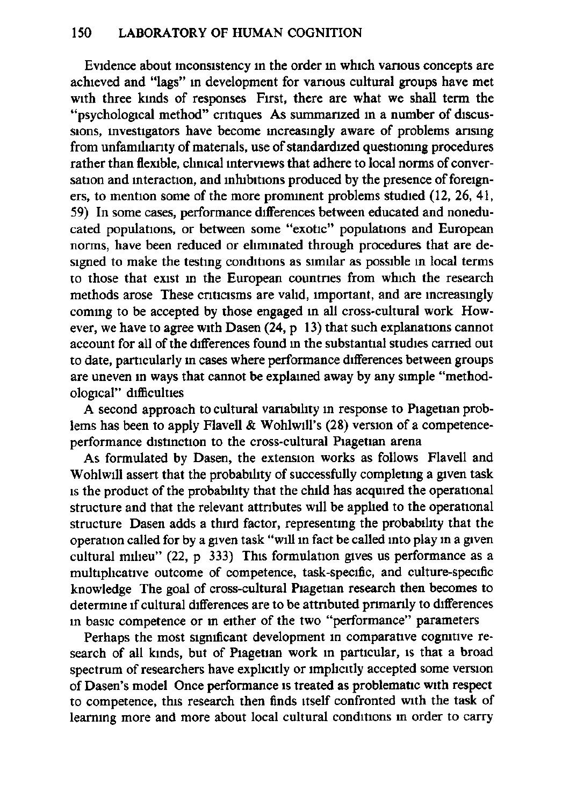Evidence about inconsistency in the order in which various concepts are achieved and "lags" m development for vanous cultural groups have met with three kmds of responses First, there are what we shall term the "psychological method" critiques As summarized in a number of discus**sions, mvestlgators have become mcreasmgly aware of problems ansmg**  from unfamiliarity of materials, use of standardized questioning procedures rather than flexible, chmical interviews that adhere to local norms of conversation and interaction, and inhibitions produced by the presence of foreigners, to mention some of the more prominent problems studied (12, 26, 41, 59) In some cases, performance dilferences between educated and noneducated populations, or between some "exotic" populations and European norms, have been reduced or ehmmated through procedures that are designed to make the testing conditions as similar as possible in local terms to those that exist m the European countnes from which the research methods arose These criticisms are valid, important, and are increasingly commg to be accepted by those engaged m all cross-cultural work However, we have to agree with Dasen  $(24, p 13)$  that such explanations cannot account for all of the differences found m the substantial studies earned out to date, particularly in cases where performance differences between groups are uneven m ways that cannot be explamed away by any simple "methodological" difficulties

A second approach to cultural variability in response to Piagetian problems has been to apply Flavell & Wohlwill's (28) version of a competenceperformance distinction to the cross-cultural Piagetian arena

As formulated by Dasen, the extension works as follows Flavell and Wohlwill assert that the probability of successfully completing a given task 1s the product of the probability that the child has acquired the operational structure and that the relevant attributes will be applied to the operational structure Dasen adds a third factor, representing the probability that the operation called for by a given task "will m fact be called mto play ma given cultural milieu" (22, p  $333$ ) This formulation gives us performance as a multiplicative outcome of competence, task-specific, and culture-specific knowledge The goal of cross-cultural Piagetian research then becomes to determine if cultural differences are to be attributed primarily to differences m basic competence or m either of the two "performance" parameters

Perhaps the most significant development in comparative cognitive research of all kinds, but of Piagetian work in particular, is that a broad spectrum of researchers have explicitly or implicitly accepted some version of Dasen's model Once performance is treated as problematic with respect to competence, this research then finds itself confronted with the task of learning more and more about local cultural conditions in order to carry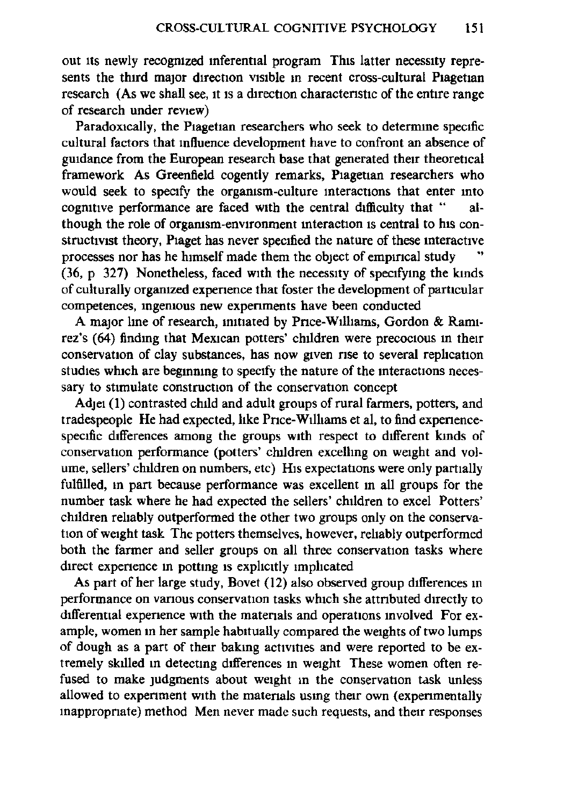out its newly recognized inferential program This latter necessity represents the third major direction visible in recent cross-cultural Piagetian research (As we shall see, it is a direction characteristic of the entire range of research under review)

Paradoxically, the Piagetian researchers who seek to determine specific cultural factors that influence development have to confront an absence of guidance from the European research base that generated their theoretical framework As Greenfield cogently remarks, Piagetian researchers who would seek to specify the organism-culture interactions that enter into cognitive performance are faced with the central difficulty that " although the role of organism-environment interaction is central to his constructivist theory. Piaget has never specified the nature of these interactive processes nor has he himself made them the object of empirical study (36, p 327) Nonetheless, faced with the necessity of specifying the kinds of culturally organized experience that foster the development of particular competences, ingenious new experiments have been conducted

A major line of research, initiated by Price-Williams, Gordon & Ramirez's (64) finding that Mexican potters' children were precocious in their conservation of clay substances, has now given rise to several replication studies which are beginning to specify the nature of the interactions necessary to stimulate construction of the conservation concept

Adjet (1) contrasted child and adult groups of rural farmers, potters, and tradespeople He had expected, like Price-Williams et al, to find experiencespecific differences among the groups with respect to different kinds of conservation performance (potters' children excelling on weight and volume, sellers' children on numbers, etc) His expectations were only partially fulfilled, in part because performance was excellent in all groups for the number task where he had expected the sellers' children to excel Potters' children reliably outperformed the other two groups only on the conservation of weight task The potters themselves, however, reliably outperformed both the farmer and seller groups on all three conservation tasks where direct experience in potting is explicitly implicated

As part of her large study, Bovet (12) also observed group differences in performance on various conservation tasks which she attributed directly to differential experience with the materials and operations involved For example, women in her sample habitually compared the weights of two lumps of dough as a part of their baking activities and were reported to be extremely skilled in detecting differences in weight These women often refused to make judgments about weight in the conservation task unless allowed to experiment with the materials using their own (experimentally inappropriate) method Men never made such requests, and their responses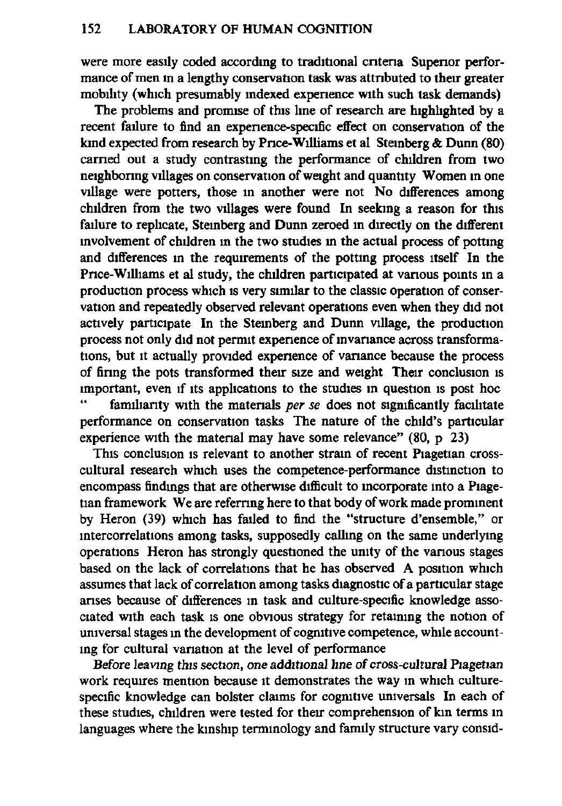were more easily coded according to traditional criteria Superior performance of men in a lengthy conservation task was attributed to their greater mobility (which presumably indexed experience with such task demands)

The problems and promise of this line of research are highlighted by a recent failure to find an experience-specific effect on conservation of the kind expected from research by Price-Williams et al Steinberg & Dunn (80) earned out a study contrastmg the performance of children from two neighboring villages on conservation of weight and quantity Women in one village were potters, those in another were not No differences among children from the two villages were found In seeking a reason for this failure to replicate, Steinberg and Dunn zeroed in directly on the different mvolvement of children m the two studies m the actual process of pottmg and differences m the requirements of the pottmg process itself In the Price-Williams et al study, the children participated at various points in a production process which is very similar to the classic operation of conservation and repeatedly observed relevant operations even when they did not actively participate In the Steinberg and Dunn village, the production process not only did not permit expenence of mvanance across transformations, but 11 actually provided expenence of vanance because the process of firing the pots transformed their size and weight Their conclusion is important, even if its applications to the studies in question is post hoc familiarity with the materials *per se* does not significantly facilitate performance on conservation tasks The nature of the child's particular experience with the material may have some relevance"  $(80, p^2)$ 

This conclusion is relevant to another strain of recent Piagetian crosscultural research which uses the competence-performance distinction to encompass findmgs that are otherwise diflicult to mcorporate mto a Piageuan framework We are refemng here to that body of work made promment by Heron (39) which has faded to find the "structure d'ensemble," or mtercorrelauons among tasks, supposedly callmg on the same underlymg operations Heron has strongly questioned the unity of the various stages based on the lack of correlations that he has observed A position which assumes that lack of correlation among tasks diagnostic of a particular stage arises because of differences in task and culture-specific knowledge associated with each task is one obvious strategy for retaining the notion of universal stages in the development of cognitive competence, while accounting for cultural variation at the level of performance

Before leaving this section, one additional line of cross-cultural Piagetian work requires mention because it demonstrates the way in which culturespecific knowledge can bolster claims for cognitive universals In each of these studies, children were tested for their comprehension of kin terms in languages where the kinship terminology and family structure vary consid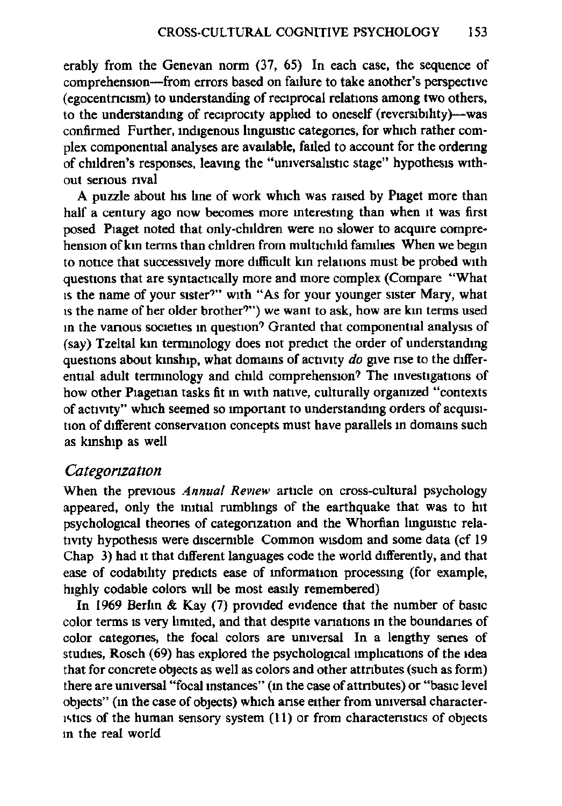erably from the Genevan norm (37, 65) In each case, the sequence of comprehension-from errors based on failure to take another's perspective (egocentricism) to understanding of reciprocal relations among two others, to the understanding of reciprocity applied to oneself (reversibility)—was confirmed Further, indigenous linguistic categories, for which rather complex componential analyses are available, failed to account for the ordering of children's responses, leaving the "universalistic stage" hypothesis with**out senous nval** 

A puzzle about his line of work which was raised by Piaget more than half a century ago now becomes more mterestmg than when 1t was first posed Piaget noted that only-children were no slower to acquire comprehension of kin terms than children from multichild families When we begin to notice that successively more difficult kin relations must be probed with questions that are syntactically more and more complex (Compare "What is the name of your sister"" with "As for your younger sister Mary, what 1s the name of her older brother"") we want to ask, how are kin terms used in the various societies in question<sup>9</sup> Granted that componential analysis of (say) Tzeltal km termmology does not predict the order of understandmg questions about kinship, what domains of activity *do* give rise to the differential adult terminology and child comprehension? The investigations of how other Piagetian tasks fit in with native, culturally organized "contexts" of activity" which seemed so important to understanding orders of acquisition of different conservation concepts must have parallels in domains such as kinship as well

#### *Categorization*

When the previous *Annual Review* article on cross-cultural psychology appeared, only the 1mttal rumblmgs of the earthquake that was to hit psychological theories of categorization and the Whorfian linguistic relativity hypothesis were discermble Common wisdom and some data (cf 19 Chap 3) had it that different languages code the world differently, and that ease of codability predicts ease of information processing (for example, highly codable colors will be most easily remembered)

In 1969 Berlm & Kay (7) provided evidence that the number of baste color terms is very limited, and that despite variations in the boundaries of color categones, the focal colors are umversal In a lengthy senes of studies, Rosch (69) has explored the psychological implications of the idea that for concrete objects as well as colors and other attnbutes (such as form) there are universal "focal instances" (in the case of attributes) or "basic level objects" (m the case of objects) which anse either from umversal character-1stics of the human sensory system (11) or from characteristics of objects m the real world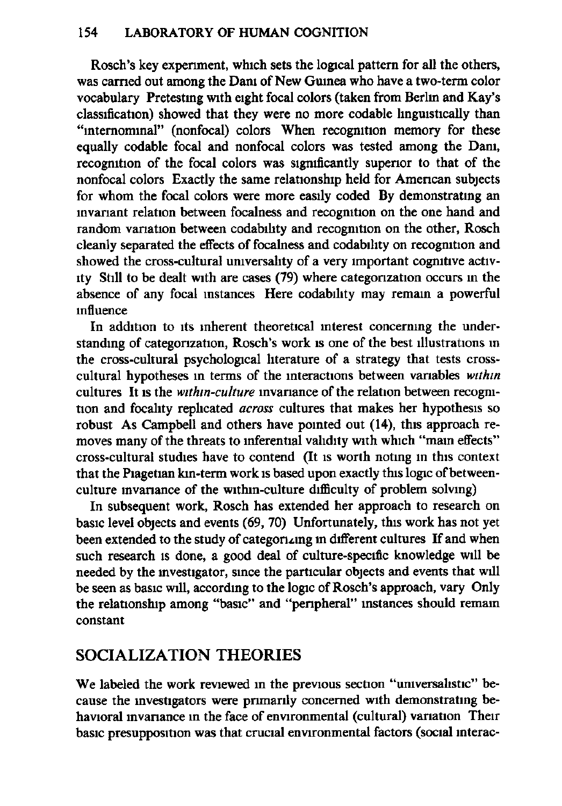Rosch's key expenrnent, which sets the logical pattern for all the others, was carried out among the Dani of New Guinea who have a two-term color vocabulary Pretestmg with eight focal colors (taken from Berlm and Kay's classification) showed that they were no more codable linguistically than "internominal" (nonfocal) colors When recognition memory for these equally codable focal and nonfocal colors was tested among the Dam, recognition of the focal colors was s1gmficantly supenor to that of the nonfocal colors Exactly the same relationship held for American subjects for whom the focal colors were more easily coded By demonstratmg an mvariant relation between focalness and recognition on the one hand and random variation between codability and recognition on the other, Rosch cleanly separated the effects of focalness and codability on recognition and showed the cross-cultural universality of a very important cognitive activ-1ty Still to be dealt with are cases (79) where categonzallon occurs m the absence of any focal instances Here codability may remain a powerful mfluence

In addition to its inherent theoretical interest concerning the understanding of categorization, Rosch's work is one of the best illustrations in the cross-cultural psychological bterature of a strategy that tests crosscultural hypotheses in terms of the interactions between variables *within* cultures It is the *within-culture* invariance of the relation between recognition and focality replicated *across* cultures that makes her hypothesis so robust As Campbell and others have pomted out (14), this approach removes many of the threats to inferential validity with which "main effects" cross-cultural studies have to contend (It 1s worth notmg m this context that the Piagetian kin-term work is based upon exactly this logic of betweenculture invariance of the within-culture difficulty of problem solving)

In subsequent work, Rosch has extended her approach to research on basic level objects and events (69, 70) Unfortunately, this work has not yet been extended to the study of categorizing in different cultures If and when such research 1s done, a good deal of culture-specific knowledge will be needed by the investigator, since the particular objects and events that will be seen as basic will, according to the logic of Rosch's approach, vary Only the relationship among "basic" and "peripheral" instances should remain constant

#### **SOCIALIZATION THEORIES**

We labeled the work reviewed in the previous section "universalistic" because the investigators were primarily concerned with demonstrating behavioral invariance in the face of environmental (cultural) variation Their basic presupposition was that crucial environmental factors (social interac-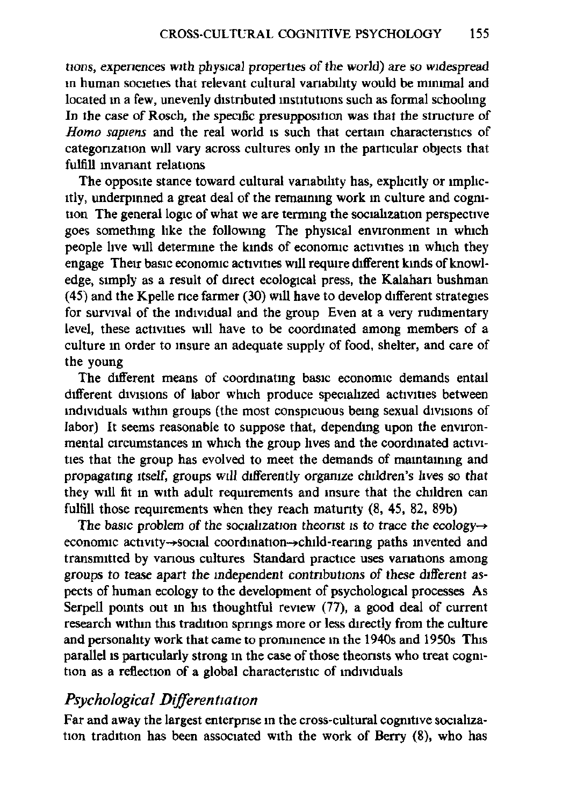tions, expenences with physical properties of the world) are so widespread in human societies that relevant cultural variability would be minimal and located in a few, unevenly distributed institutions such as formal schooling In the case of Rosch, the specific presupposition was that the structure of Homo sapiens and the real world is such that certain characteristics of categorization will vary across cultures only in the particular objects that fulfill mvanant relations

The opposite stance toward cultural variability has, explicitly or implic-1tly, underpmned a great deal of the remammg work m culture and cogmtion The general logic of what we are terming the socialization perspective goes somethmg hke the followmg The physical environment m which people hve will determme the kmds of economic activities m which they engage Their basic economic activities will require different kinds of knowledge, simply as a result of direct ecological press, the Kalahan bushman ( 45) and the Kpelle nee farmer (30) will have to develop different strategies for survival of the individual and the group Even at a very rudimentary level, these activities will have to be coordinated among members of a culture m order to msure an adequate supply of food, shelter, and care of the young

The different means of coordinating basic economic demands entail different divisions of labor which produce specialized activities between individuals within groups (the most conspicuous being sexual divisions of labor) It seems reasonable to suppose that, dependmg upon the environmental circumstances in which the group lives and the coordinated activities that the group has evolved to meet the demands of maintaining and propagating itself, groups will differently organize children's lives so that they will fit in with adult requirements and insure that the children can fulfill those requirements when they reach maturity  $(8, 45, 82, 89b)$ 

The basic problem of the socialization theorist is to trace the ecology $\rightarrow$ economic activity-social coordination-schild-rearing paths invented and transmitted by various cultures Standard practice uses variations among groups to tease apart the independent contributions of these different aspects of human ecology to the development of psychological processes As Serpell points out in his thoughtful review (77), a good deal of current research within this tradition springs more or less directly from the culture and personality work that came to prommence m the 1940s and 1950s This parallel 1s particularly strong m the case of those theorists who treat cogmtion as a reflection of a global characteristic of individuals

#### *Psychological Differentiation*

Far and away the largest enterprise in the cross-cultural cognitive socialization tradition has been associated with the work of Berry (8), who has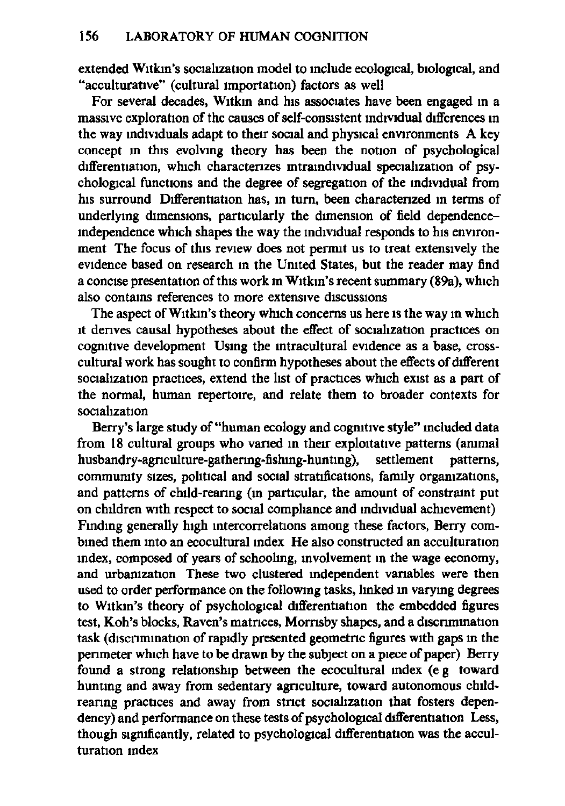extended Witkin's socialization model to include ecological, biological, and "acculturative" (cultural importation) factors as well

For several decades. Witkin and his associates have been engaged in a massive exploration of the causes of self-consistent individual differences in the way individuals adapt to their social and physical environments A key concept in this evolving theory has been the notion of psychological differentiation, which characterizes intraindividual specialization of psychological functions and the degree of segregation of the individual from his surround Differentiation has, in turn, been characterized in terms of underlying dimensions, particularly the dimension of field dependenceindependence which shapes the way the individual responds to his environment The focus of this review does not permit us to treat extensively the evidence based on research m the Umted States, but the reader may find a concise presentation of this work in Witkin's recent summary (89a), which **also contams references to more extensive d1scuss1ons** 

The aspect of Witkin's theory which concerns us here is the way in which 1t derives causal hypotheses about the effect of socialization practices on cognitive development Using the intracultural evidence as a base, crosscultural work has sought to confirm hypotheses about the effects of different socialization practices, extend the list of practices which exist as a part of the normal, human repertoire, and relate them to broader contexts for soc1alizat1on

Berry's large study of "human ecology and cognitive style" included data from 18 cultural groups who varied in their exploitative patterns (animal husbandry-agriculture-gathering-fishing-hunting), settlement patterns. husbandry-agnculture-gathenng-fishmg-huntmg), settlement patterns, community sizes, political and social stratifications, family organizations, and patterns of child-rearing (in particular, the amount of constraint put on children with respect to social compliance and md1v1dual achievement) Finding generally high intercorrelations among these factors, Berry combmed them mto an ecocultural mdex He also constructed an acculturatton mdex, composed of years of schooling, mvolvement m the wage economy, and urbanization These two clustered independent variables were then used to order performance on the followmg tasks, linked m varymg degrees to Witkin's theory of psychological differentiation the embedded figures test, Koh's blocks, Raven's matrices, Morrisby shapes, and a discrimination task (discrimination of rapidly presented geometric figures with gaps in the perimeter which have to be drawn by the subject on a piece of paper) Berry found a strong relationship between the ecocultural index (e g toward hunting and away from sedentary agriculture, toward autonomous childrearing practices and away from strict socialization that fosters dependency) and performance on these tests of psychological differentiation Less, though significantly, related to psychological differentiation was the accul**turat10n mdex**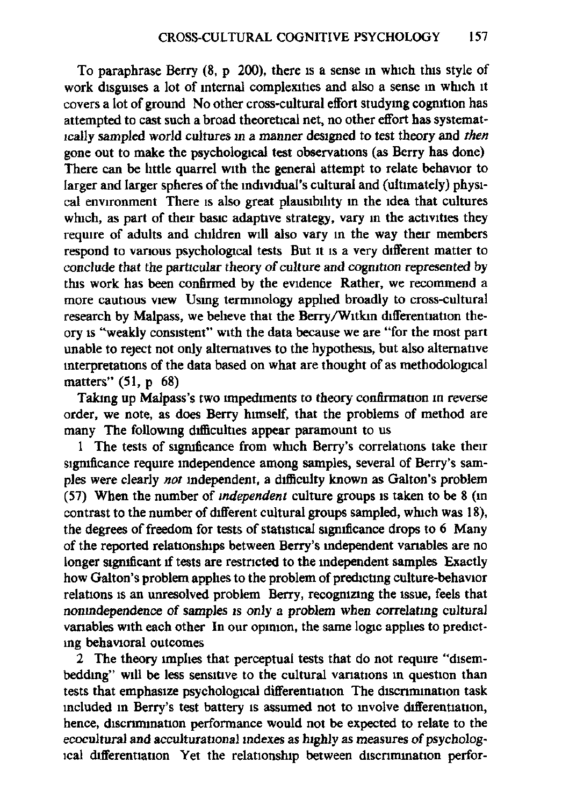To paraphrase Berry (8, p 200), there 1s a sense m whtch this style of work disguises a lot of internal complexities and also a sense in which it covers a lot of ground No other cross-cultural effort studying cognition has attempted to cast such a broad theoretical net, no other effort has systematically sampled world cultures m a manner designed to test theory and *then*  gone out to make the psychological test observations (as Berry has done) There can be little quarrel with the general attempt to relate behavior to larger and larger spheres of the individual's cultural and (ultimately) physical environment There is also great plausibility in the idea that cultures which, as part of their basic adaptive strategy, vary in the activities they require of adults and children will also vary in the way their members respond to various psychological tests But it is a very different matter to conclude that the particular theory of culture and cognition represented by this work has been confirmed by the evidence Rather, we recommend a more cautious view Usmg termmology apphed broadly to cross-cultural research by Malpass, we beheve that the Berry/W1tkin differentiation theory 1s "weakly consistent" with the data because we are "for the most part unable to reject not only alternatives to the hypothesis, but also alternative interpretations of the data based on what are thought of as methodological matters" (51, p 68)

Taktng up Malpass's two 1mpedunents to theory confirmation m reverse order, we note, as does Berry hunself, that the problems of method are many The following difficulties appear paramount to us

1 The tests of significance from which Berry's correlations take their significance require independence among samples, several of Berry's samples were clearly *not* independent, a difficulty known as Galton's problem (57) When the number of *independent* culture groups 1s taken to be 8 (m contrast to the number of different cultural groups sampled, which was 18), the degrees of freedom for tests of statistical significance drops to 6 Many of the reported relatlonshtps between Berry's mdependent variables are no longer significant if tests are restricted to the independent samples Exactly how Galton's problem applies to the problem of predicting culture-behavior relations is an unresolved problem Berry, recognizing the issue, feels that nonindependence of samples is only a problem when correlating cultural variables with each other In our opinion, the same logic applies to predictmg behavtoral outcomes

2 The theory implies that perceptual tests that do not require "disembedding" will be less sensitive to the cultural variations in question than tests that emphasize psychological differentiation The discrimination task included in Berry's test battery is assumed not to involve differentiation, hence, discrimination performance would not be expected to relate to the ecocultural and acculturational indexes as highly as measures of psychological differentiation Yet the relationship between discrimination perfor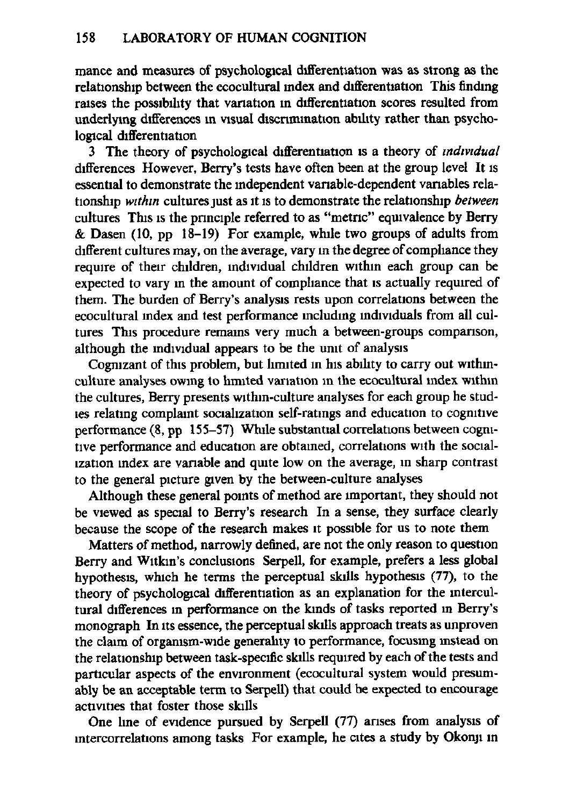mance and measures of psychological differentiation was as strong as the relationship between the ecocultural index and differentiation This finding ratses the possibility that variation in differentiation scores resulted from underlying differences in visual discrimination ability rather than psychological differentiation

3 The theory of psychological differentiation is a theory of *individual* differences However, Berry's tests have often been at the group level It 1s essential to demonstrate the mdependent vanable-dependent vanables relationship within cultures just as it is to demonstrate the relationship *between* cultures This is the principle referred to as "metric" equivalence by Berry & Dasen (10, pp  $18-19$ ) For example, while two groups of adults from different cultures may, on the average, vary m the degree of compliance they require of their children, individual children within each group can be expected to vary in the amount of compliance that is actually required of them. The burden of Berry's analysis rests upon correlauons between the ecocultural index and test performance including individuals from all cultures This procedure remains very much a between-groups comparison, although the individual appears to be the unit of analysis

Cognizant of this problem, but limited in his ability to carry out withinculture analyses owing to hmited variation in the ecocultural index within the cultures, Berry presents within-culture analyses for each group he studies relating complaint socialization self-ratings and education to cognitive performance (8, pp 155-57) Wlule substantial correlations between cogmtive performance and education are obtained, correlations with the socialization index are variable and quite low on the average, in sharp contrast to the general picture given by the between-culture analyses

Although these general pomts of method are important, they should not be viewed as special to Berry's research In a sense, they surface clearly because the scope of the research makes 11 possible for us to note them

Matters of method, narrowly defined, are not the only reason to question Berry and W1tkm's conclusions Serpell, for example, prefers a less global hypothesis, which he terms the perceptual skills hypothesis (77), to the theory of psychological differentiation as an explanation for the intercultural differences m performance on the klnds of tasks reported m Berry's monograph In its essence, the perceptual skills approach treats as unproven the claim of organism-wide generality to performance, focusing instead on the relationship between task-specific skills required by each of the tests and particular aspects of the environment (ecocultural system would presumably be an acceptable term to Serpell) that could be expected to encourage activities that foster those skills

One line of evidence pursued by Serpell (77) arises from analysis of mtercorrelations among tasks For example, he cites a study by Okonji in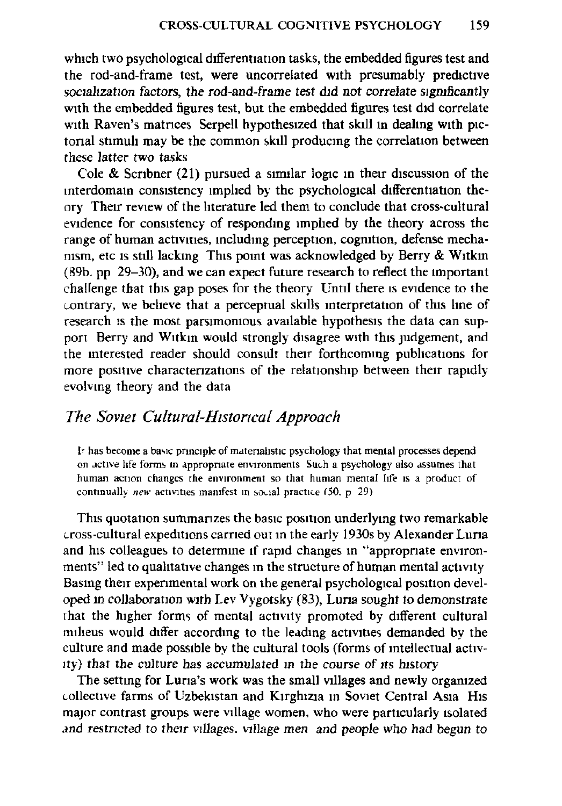which two psychological differentiation tasks, the embedded figures test and the rod-and-frame test, were uncorrelated with presumably predictive sociahzation factors, the rod-and-frame test did not correlate sigmficantly with the embedded figures test, but the embedded figures test did correlate with Raven's matnces Serpell hypothesized that skill in dealing with pietorial stimuli may be the common skill producing the correlation between these latter two tasks

Cole & Scribner  $(21)$  pursued a similar logic in their discussion of the interdomain consistency implied by the psychological differentiation theory The1r review of the literature led them to conclude that cross-cultural evidence for consistency of respondmg 1mphed by the theory across the range of human activities, including perception, cognition, defense mechanism, etc is still lacking This point was acknowledged by Berry & Witkin (89b. pp 29-30), and we can expect future research to reflect the important challenge that this gap poses for the theory Until there 1s evidence to the contrary, we beheve that a perceptual skills interpretation of this line of research is the most parsimonious available hypothesis the data can support Berry and Witkin would strongly disagree with this judgement, and the interested reader should consult their forthcoming publications for more positive characterizations of the relationship between their rapidly evolvmg theory and the data

# *The Soviet Cultural-H1stoncal Approach*

I<sup>,</sup> has become a basic principle of materialistic psychology that mental processes depend on active life forms in appropriate environments. Such a psychology also assumes that human action changes the environment so that human mental life is a product of continually *new* activities manifest in social practice (50, p 29)

This quotation summarizes the basic position underlying two remarkable **c..ross-cultural expeditions earned out m the early 1930s by Alexander Luna**  and his colleagues to determine if rapid changes in "appropriate environments" led to qualitative changes in the structure of human mental activity Basing their experimental work on the general psychological position developed in collaboration with Lev Vygotsky (83), Luria sought to demonstrate that the higher forms of mental activity promoted by different cultural milieus would differ according to the leading activities demanded by the culture and made possible by the cultural tools (forms of mtellectual activ**ity) that the culture has accumuJated m the course of 1ts h1story** 

The settmg for Luna's work was the small villages and newly orgamzed collective farms of Uzbekistan and Kirghizia in Soviet Central Asia His **maJor contrast groups were village women. who were particularly isolated**  and restricted to their villages. village men and people who had begun to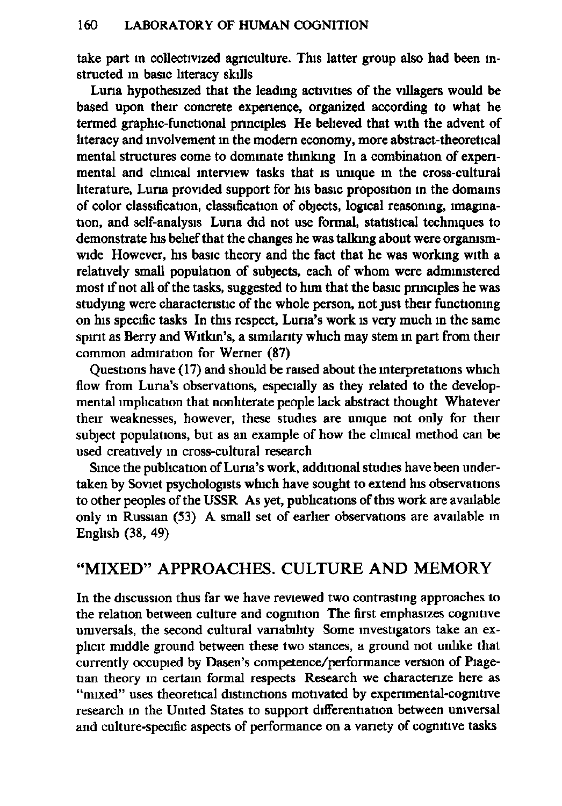take part in collectivized agriculture. This latter group also had been instructed m basic hteracy sktlls

Luria hypothesized that the leading activities of the villagers would be based upon their concrete expenence, organized according to what he termed graphic-functional principles He believed that with the advent of hteracy and mvolvement m the modem economy, more abstract-theoretical mental structures come to dommate thmkmg In a combination of expenmental and clinical interview tasks that is unique in the cross-cultural literature, Luria provided support for his basic proposition in the domains of color classification, classification of objects, logical reasoning, imagination, and self-analysis Luria did not use formal, statistical techniques to demonstrate his belief that the changes he was talking about were organismwide However, his basic theory and the fact that he was working with a relatively small population of subjects, each of whom were administered most if not all of the tasks, suggested to him that the basic principles he was studying were characteristic of the whole person, not just their functioning on his specific tasks In this respect, Luna's work 1s very much m the same spirit as Berry and Witkin's, a similarity which may stem in part from their common admiration for Werner (87)

Questions have (17) and should be raised about the interpretations which flow from Luna's observations, especially as they related to the developmental implication that nonliterate people lack abstract thought Whatever their weaknesses, however, these studies are unique not only for their subject populations, but as an example of how the clinical method can be used creatively m cross-cultural research

Since the publication of Luria's work, additional studies have been undertaken by Soviet psychologists which have sought to extend his observations to other peoples of the USSR As yet, publications of this work are avatlable only in Russian (53) A small set of earlier observations are available in Enghsh (38, 49)

# **"MIXED" APPROACHES. CULTURE AND MEMORY**

In the discussion thus far we have reviewed two contrasting approaches to the relation between culture and cognition The first emphasizes cognitive universals, the second cultural variability Some investigators take an exphcit middle ground between these two stances, a ground not unlike that currently occupied by Dasen's competence/performance version of Piagetian theory in certain formal respects Research we characterize here as "mixed" uses theoretical distinctions motivated by experimental-cognitive research in the United States to support differentiation between universal and culture-specific aspects of performance on a variety of cognitive tasks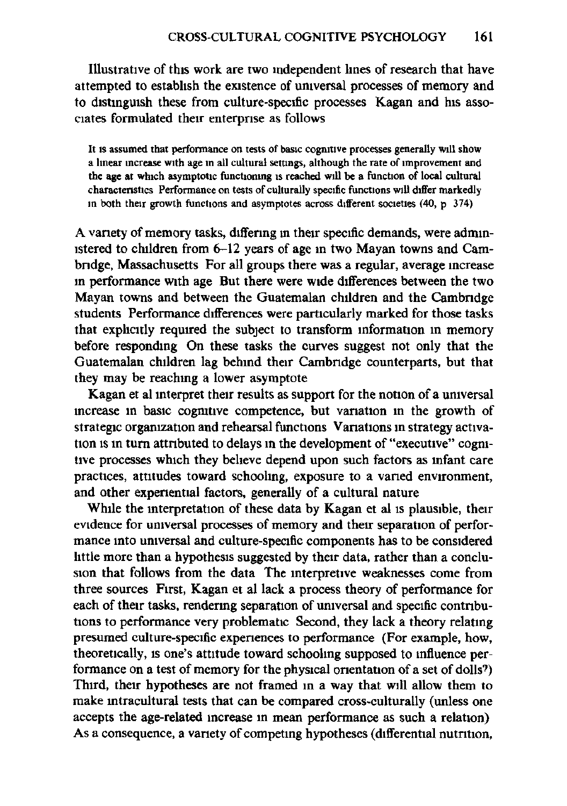Illustrative of this work are two independent lines of research that have attempted to estabhsh the existence of universal processes of memory and to distinguish these from culture-specific processes Kagan and his associates formulated their enterpnse as follows

It is assumed that performance on tests of basic cognitive processes generally will show **a linear mcrease with age tn all cultural settmgs, although the rate of improvement and the age at which asymptotic funcbomng ts reached will be a function of local cultural**  characteristics Performance on tests of culturally specific functions will differ markedly in both their growth functions and asymptotes across different societies (40, p 374)

A vanety of memory tasks, d1ffenng m their specific demands, were admm-1stered to children from 6-12 years of age in two Mayan towns and Cambndge, Massachusetts For all groups there was a regular, average mcrease m performance with age But there were wide differences between the two Mayan towns and between the Guatemalan children and the Cambridge students Performance differences were particularly marked for those tasks that explicitly required the subject to transform information in memory before respondmg On these tasks the curves suggest not only that the Guatemalan children lag behind their Cambridge counterparts, but that they may be reachmg a lower asymptote

Kagan et al mterpret their results as support for the notion of a universal increase in basic cognitive competence, but variation in the growth of strategic organization and rehearsal functions Variations in strategy activation is in turn attributed to delays in the development of "executive" cognitive processes which they believe depend upon such factors as infant care practices, attitudes toward schoohng, exposure to a vaned environment, and other experiential factors, generally of a cultural nature

While the interpretation of these data by Kagan et al is plausible, their evidence for universal processes of memory and their separation of performance mto umversal and culture-specific components has to be considered httle more than a hypothesis suggested by their data, rather than a conclusion that follows from the data The interpretive weaknesses come from three sources First, Kagan et al lack a process theory of performance for each of their tasks, rendering separation of universal and specific contributions to performance very problematic Second, they lack a theory relating presumed culture-specific expenences to performance (For example, how, theoretically, 1s one's attitude toward schoolmg supposed to mfluence performance on a test of memory for the physical orientation of a set of dolls?) Third, their hypotheses are not framed m a way that will allow them to make intracultural tests that can be compared cross-culturally (unless one accepts the age-related mcrease m mean performance as such a relation) As a consequence, a variety of competing hypotheses (differential nutrition,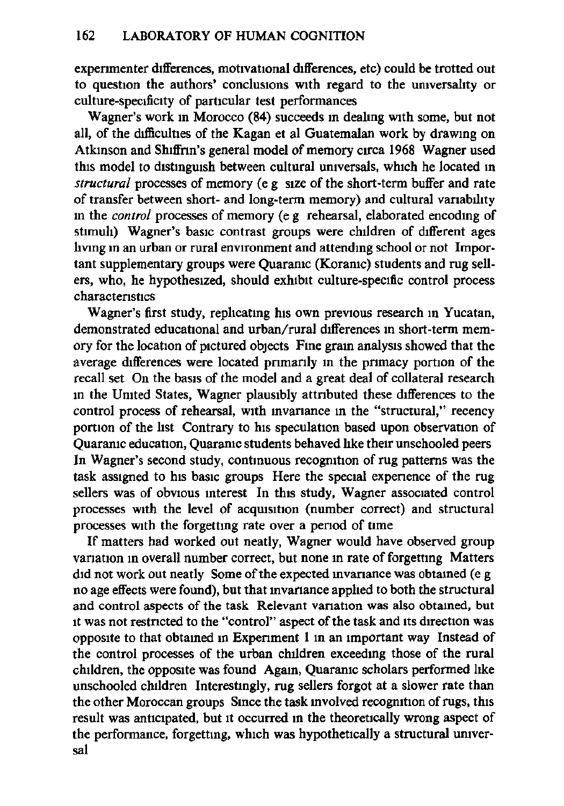expenmenter differences, mottvattonal differences, etc) could be trotted out to question the authors' conclusions with regard to the universality or culture-specificity of particular test performances

Wagner's work m Morocco (84) succeeds m dealmg with some, but not all, of the difficulties of the Kagan et al Guatemalan work by drawmg on Atkinson and Shiffrin's general model of memory circa 1968 Wagner used this model to distinguish between cultural universals, which he located in *structural* processes of memory (e g size of the short-term buffer and rate of transfer between short- and long-term memory) and cultural variability m the *control* processes of memory (e g rehearsal, elaborated encodmg of sttmuh) Wagner's basic contrast groups were children of different ages hvmg man urban or rural environment and attendmg school or not Important supplementary groups were Quarantc (Koranic) students and rug sellers, who, he hypothesized, should exhtbtt culture-specific control process **charactensttcs** 

Wagner's first study, rephcatmg his own previous research m Yucatan, demonstrated educational and urban/rural differences m short-term memory for the location of pictured objects Fine grain analysis showed that the average differences were located primarily in the primacy portion of the recall set On the basis of the model and a great deal of collateral research m the Umted States, Wagner plausibly attnbuted these differences to the **control process of rehearsal, with mvanance m the "structural," recency**  portion of the list Contrary to his speculation based upon observation of Quaranic education, Quaranic students behaved like their unschooled peers In Wagner's second study, continuous recognition of rug patterns was the task assigned to his basic groups Here the special expenence of the rug sellers was of obvious interest In this study, Wagner associated control processes with the level of acquisition (number correct) and structural processes with the forgettmg rate over a penod of ume

If matters had worked out neatly, Wagner would have observed group variation in overall number correct, but none in rate of forgetting Matters did not work out neatly Some of the expected mvanance was obtamed (e g no age effects were found), but that mvanance apphed to both the structural **and control aspects of the task Relevant vanatlon was also obtained, but**  1t was not restricted to the "control" aspect of the task and its direction was opposite to that obtamed m Expenment I m an important way Instead of the control processes of the urban children exceedmg those of the rural children, the opposite was found Agam, Quaramc scholars performed hke unschooled children Interestmgly, rug sellers forgot at a slower rate than the other Moroccan groups Since the task involved recognition of rugs, this result was anticipated, but it occurred in the theoretically wrong aspect of the performance, forgetting, which was hypothetically a structural universal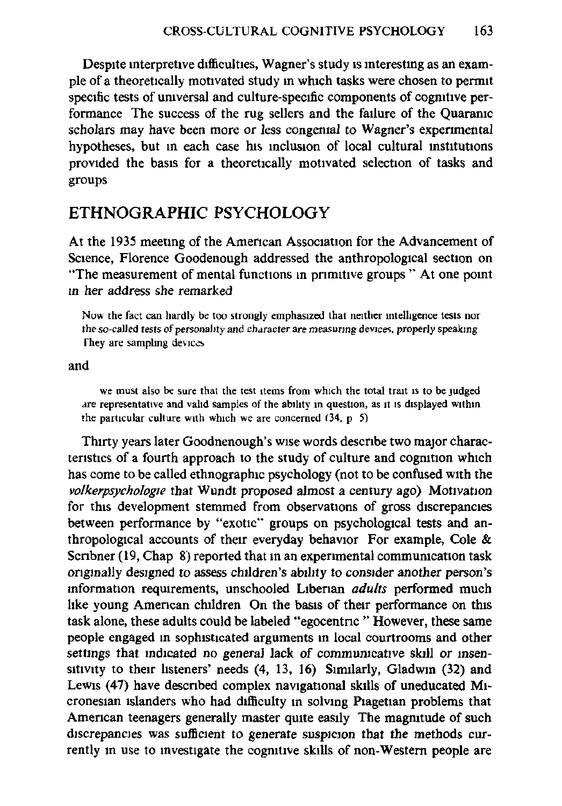Despite interpretive difficulties, Wagner's study is interesting as an example of a theoretically motivated study in which tasks were chosen to permit specific tests of universal and culture-specific components of cognitive performance The success of the rug sellers and the failure of the Quaranic scholars may have been more or less congemal to Wagner's expenmental hypotheses, but in each case his inclusion of local cultural institutions provided the basis for a theoretically motivated selection of tasks and groups

## **ETHNOGRAPHIC PSYCHOLOGY**

At the 1935 meeting of the American Association for the Advancement of Science, Florence Goodenough addressed the anthropological section on "The measurement of mental functions in primitive groups" At one point m her address she remarked

**Now the fact can hardly be too strongly emphasized that neither mtelhgence tests nor**  the so-called tests of personality and character are measuring devices, properly speaking **fhey are sampling devices** 

#### and

**we must also be sure that the rest items from which the total trait 1s to be Judged are representative and vahd samples of the ab1hty m question, as 1t 1s displayed wtthm rhe particular culture with which we are concerned f34, p 5)** 

Thirty years later Goodnenough's wise words describe two major characteristics of a fourth approach to the study of culture and cognition which has come to be called ethnographic psychology (not to be confused with the *volkerpsychologie* that Wundt proposed almost a century ago) Motivation for this development stemmed from observations of gross discrepancies between performance by "exotic" groups on psychological tests and anthropological accounts of their everyday behavior For example, Cole  $\&$ Scribner (19, Chap 8) reported that in an experimental communication task ongmally designed to assess children's ability to consider another person's mformat1on reqmrements, unschooled L1benan *adults* performed much like young American children On the basis of their performance on this task alone, these adults could be labeled "egocentnc "However, these same **people engaged m sophisticated arguments m local courtrooms and other**  settings that indicated no general lack of communicative skill or insensitivity to their listeners' needs (4, 13, 16) Similarly, Gladwin (32) and Lewis (47) have described complex navigational skills of uneducated Micronesian islanders who had difficulty in solving Piagetian problems that American teenagers generally master quite easily The magnitude of such discrepancies was sufficient to generate suspicion that the methods currently in use to investigate the cognitive skills of non-Western people are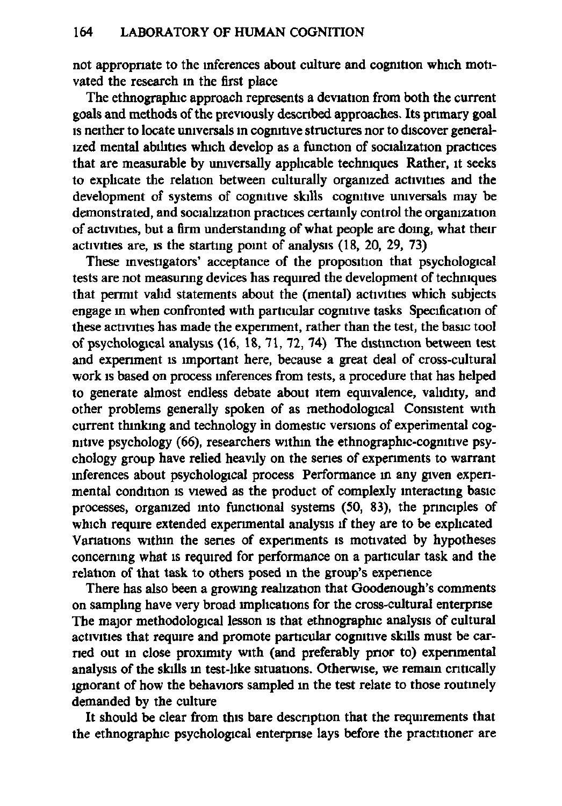not appropriate to the inferences about culture and cognition which motivated the research m the first place

The ethnographic approach represents a deviation from both the current goals and methods of the previously described approaches. Its primary goal 1s neither to locate universals in cognitive structures nor to discover generalized mental abilities which develop as a function of socialization practices that are measurable by umversally applicable techmques Rather, 1t seeks to explicate the relation between culturally organized activities and the development of systems of cognitive skills cognitive universals may be demonstrated, and socialization practices certainly control the organization of activities, but a firm understanding of what people are domg, what their activities are, is the starting point of analysis  $(18, 20, 29, 73)$ 

These investigators' acceptance of the proposition that psychological tests are not measuring devices has required the development of techniques that permit valid statements about the (mental) activities which subjects engage in when confronted with particular cognitive tasks Specification of these activities has made the expenment, rather than the test, the basic tool of psychological analysis (16, 18, 71, 72, 74) The distinction between test and experiment is important here, because a great deal of cross-cultural work 1s based on process mferences from tests, a procedure that has helped to generate almost endless debate about item equivalence, validity, and other problems generally spoken of as methodological Consistent with current thinking and technology in domestic versions of experimental cogmtive psychology (66), researchers within the ethnographic-cognitive psychology group have relied heavily on the senes of expenments to warrant mferences about psychological process Performance m any given expenmental condition is viewed as the product of complexly interacting basic processes, organized into functional systems (50, 83), the principles of which require extended experimental analysis if they are to be explicated Variations within the series of experiments is motivated by hypotheses concerning what is required for performance on a particular task and the relation of that task to others posed m the group's expenence

There has also been a growing realization that Goodenough's comments on sampling have very broad implications for the cross-cultural enterprise The major methodological lesson is that ethnographic analysis of cultural activities that require and promote particular cognitive skills must be carned out m close proxmnty with (and preferably pnor to) expenmental analysis of the skills in test-like situations. Otherwise, we remain critically ignorant of how the behaviors sampled m the test relate to those routmely demanded by the culture

It should be clear from this bare description that the requirements that the ethnographic psychological enterprise lays before the practitioner are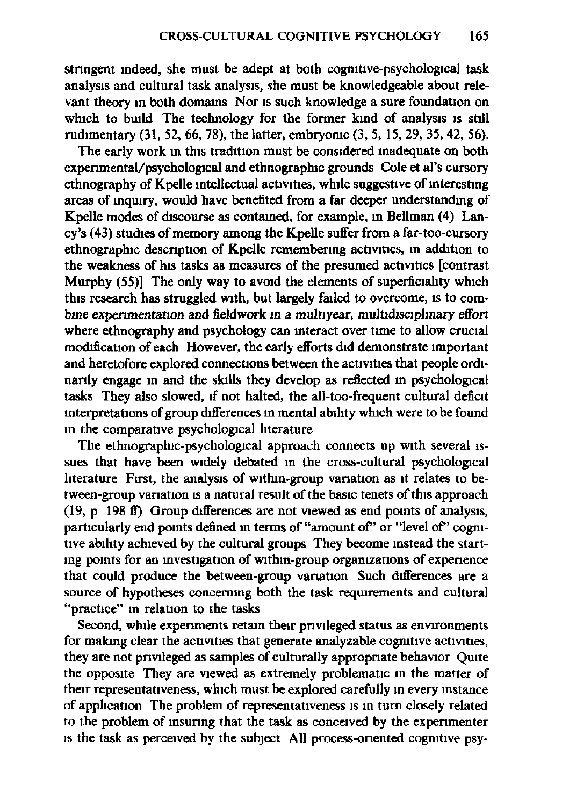stringent indeed, she must be adept at both cognitive-psychological task analysis and cultural task analysis, she must be knowledgeable about relevant theory m both domams Nor 1s such knowledge a sure foundation on which to build The technology for the former kmd of analysis 1s still rudimentary (31, 52, 66, 78), the latter, embryomc (3, *5,* 15, 29, 35, 42, 56).

The early work in this tradition must be considered inadequate on both expenmental/psychological and ethnograplnc grounds Cole et al's cursory ethnography of Kpelle intellectual activities, while suggestive of interesting areas of inquiry, would have benefited from a far deeper understanding of Kpelle modes of discourse as contained, for example, in Bellman (4) Laney's (43) studies of memory among the Kpelle suffer from a far-too-cursory ethnographic description of Kpelle remembering activities, in addition to the weakness of his tasks as measures of the presumed activities [contrast Murphy (55)] The only way to avoid the elements of superficiality which this research has struggled with, but largely failed to overcome, is to combine experimentation and fieldwork in a multiyear, multidisciplinary effort where ethnography and psychology can interact over time to allow crucial modification of each However, the early efforts did demonstrate important and heretofore explored connections between the activities that people ordinarily engage in and the skills they develop as reflected in psychological tasks They also slowed, 1f not halted, the all-too-frequent cultural deficit interpretations of group differences in mental ability which were to be found m the comparative psychological literature

The ethnographic-psychological approach connects up with several issues that have been widely debated in the cross-cultural psychological literature First, the analysis of within-group variation as it relates to between-group variation is a natural result of the basic tenets of this approach (19, p 198 ff) Group differences are not viewed as end pomts of analysis, particularly end points defined in terms of "amount of" or "level of" cognitive ability achieved by the cultural groups They become instead the starting points for an investigation of within-group organizations of experience that could produce the between-group variation Such differences are a source of hypotheses concerning both the task requirements and cultural "practice" in relation to the tasks

Second, while experiments retain their privileged status as environments for making clear the activities that generate analyzable cognitive activities, they are not pnvlieged as samples of culturally appropnate behavior Quite the opposite They are viewed as extremely problematic m the matter of their representativeness, winch must be explored carefully m every mstance of application The problem of representativeness is in turn closely related to the problem of msunng that the task as conceived by the expenmenter is the task as perceived by the subject All process-oriented cognitive psy-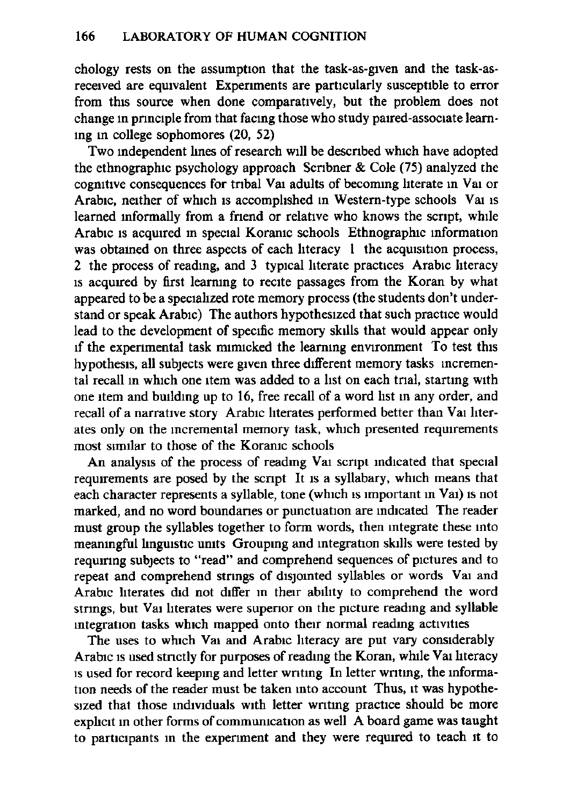chology rests on the assumption that the task-as-given and the task-asreceived are equivalent Experiments are particularly susceptible to error from this source when done comparatively, but the problem does not change in principle from that facing those who study paired-associate learnmg m college sophomores (20, 52)

Two mdependent Imes of research will be descnbed which have adopted the ethnographic psychology approach Scnbner & Cole (75) analyzed the cognitive consequences for tribal Vai adults of becoming literate in Vai or Arabic, neither of which is accomplished in Western-type schools Vai is learned informally from a friend or relative who knows the script, while Arabic is acquired in special Koranic schools Ethnographic information was obtained on three aspects of each literacy 1 the acquisition process, 2 the process of readmg, and 3 typical literate practices Arabic literacy 1s acquired by first learning to recite passages from the Koran by what appeared to be a specialized rote memory process (the students don't understand or speak Arabic) The authors hypothesized that such practice would lead to the development of specific memory skills that would appear only 1f the expenmental task mumcked the learnmg environment To test this hypothesis, all subjects were given three different memory tasks mcremental recall m which one item was added to a list on each tnal, startmg with one item and buildmg up to 16, free recall of a word list m any order, and recall of a narrative story Arabic literates performed better than Vai literates only on the incremental memory task, which presented requirements most similar to those of the Koramc schools

An analysis of the process of reading Vai script indicated that special requirements are posed by the script It is a syllabary, which means that each character represents a syllable, tone (which 1s important m Va1) 1s not marked, and no word boundaries or punctuation are indicated The reader must group the syllables together to form words, then mtegrate these mto meaningful linguistic units Grouping and integration skills were tested by requmng subjects to "read" and comprehend sequences of pictures and to repeat and comprehend strmgs of d1sjomted syllables or words Va1 and Arabic literates did not differ in their ability to comprehend the word strings, but Vai literates were superior on the picture reading and syllable integration tasks which mapped onto their normal reading activities

The uses to which Vai and Arabic literacy are put vary considerably Arabic is used strictly for purposes of reading the Koran, while Vai literacy 1s used for record keepmg and letter wntmg In letter wntmg, the mformation needs of the reader must be taken into account Thus, it was hypothesized that those individuals with letter writing practice should be more explicit in other forms of communication as well A board game was taught to participants in the experiment and they were required to teach it to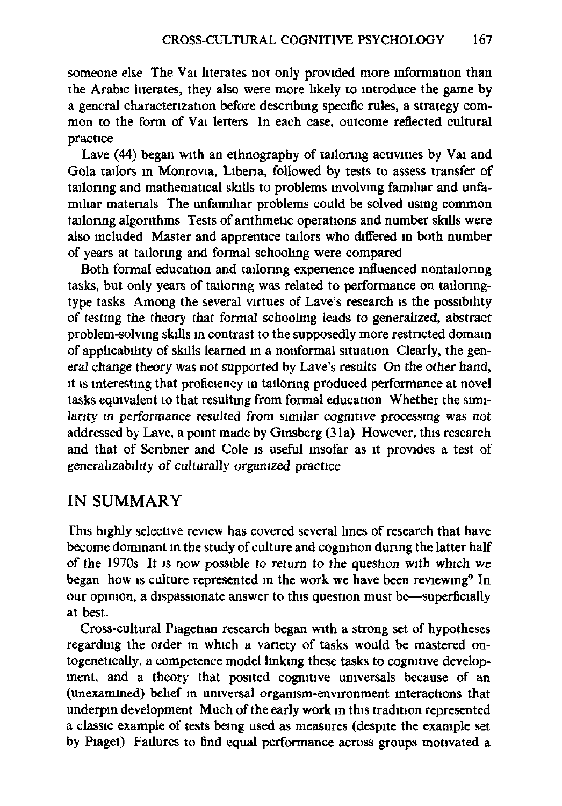someone else The Vai literates not only provided more information than the Arabic hterates, they also were more hkely to mtroduce the game by a general characterization before describing specific rules, a strategy common to the form of Vat letters In each case, outcome reflected cultural **practice** 

Lave (44) began with an ethnography of tailoring activities by Vai and Gola tailors in Monrovia, Liberia, followed by tests to assess transfer of tatloring and mathematical skills to problems involving familiar and unfamiliar materials. The unfamiliar problems could be solved using common tailoring algorithms Tests of arithmetic operations and number skills were also mcluded Master and apprentice tailors who differed m both number of years at ta1lonng and formal schoohng were compared

Both formal education and tailoring experience influenced nontatloring tasks, but only years of tailoring was related to performance on tailoringtype tasks Among the several virtues of Lave's research is the possibility of testmg the theory that formal schoolmg leads to generahzed, abstract problem-solvmg sktlls m contrast to the supposedly more restncted domam of apphcability of skills learned in a nonformal situation Clearly, the general change theory was not supported by Lave's results On the other hand, 11 ts mterestmg that proficiency m tatlormg produced performance at novel tasks equivalent to that resulting from formal education Whether the similarity in performance resulted from similar cognitive processing was not addressed by Lave, a point made by Ginsberg (31a) However, this research and that of Scnbner and Cole 1s useful msofar as 11 provides a test of generahzab1hty of culturally orgamzed practice

### **IN SUMMARY**

This highly selective review has covered several lines of research that have become dominant in the study of culture and cognition during the latter half of the 1970s It is now possible to return to the question with which we began how is culture represented in the work we have been reviewing? In our opinion, a dispassionate answer to this question must be-superficially at best.

Cross-cultural Piagetian research began with a strong set of hypotheses regardmg the order m which a vanety of tasks would be mastered ontogenetically, a competence model linking these tasks to cognitive development, and a theory that posited cognitive universals because of an (unexamined) behef in universal organism-environment interactions that underpin development Much of the early work in this tradition represented a classic example of tests being used as measures ( despite the example set by Piaget) Failures to find equal performance across groups motivated a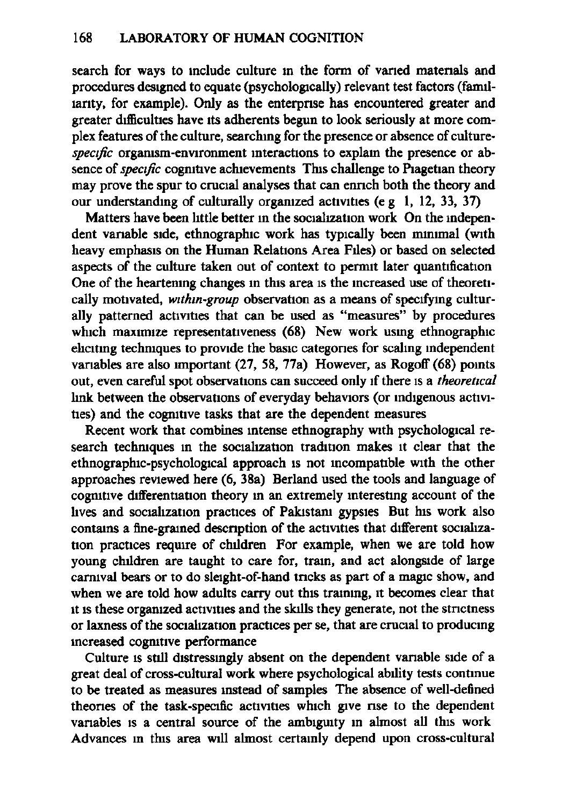search for ways to include culture in the form of varied materials and procedures designed to equate (psychologically) relevant test factors (famll-1anty, for example). Only as the enterpnse has encountered greater and greater difficulties have its adherents begun to look seriously at more complex features of the culture, searchmg for the presence or absence of culture*specific* organism-environment interactions to explain the presence or absence of *specific* cognitive achievements This challenge to Piagetian theory may prove the spur to crucial analyses that can ennch both the theory and our understanding of culturally organized activities (e g  $1, 12, 33, 37$ )

Matters have been little better in the socialization work On the independent variable side, ethnographic work has typically been minimal (with heavy emphasis on the Human Relations Area Files) or based on selected aspects of the culture taken out of context to permit later quantification One of the heartening changes in this area is the increased use of theoretically motivated, within-group observation as a means of specifying culturally patterned activities that can be used as "measures" by procedures which maximize representativeness (68) New work using ethnographic ehciting techniques to provide the basic categories for scaling independent variables are also important (27, 58, 77a) However, as Rogoff (68) pomts out, even careful spot observations can succeed only if there is a *theoretical* link between the observations of everyday behaviors (or indigenous activities) and the cognitive tasks that are the dependent measures

Recent work that combines intense ethnography with psychological research techniques in the socialization tradition makes it clear that the ethnographic-psychological approach is not incompatible with the other approaches reviewed here (6, 38a) Berland used the tools and language of cognitive differentiation theory in an extremely interesting account of the hves and socialization practices of Pakistani gypsies But his work also contains a fine-grained description of the activities that different socialization practices reqwre of children For example, when we are told how young children are taught to care for, tram, and act alongstde of large carmval bears or to do sleight-of-hand tncks as part of a magic show, and when we are told how adults carry out this training, it becomes clear that 1t is these organized activities and the skills they generate, not the strictness or laxness of the socialization practices per se, that are crucial to producing mcreased cogmt1ve performance

Culture is still distressingly absent on the dependent variable side of a great deal of cross-cultural work where psychological ability tests contmue to be treated as measures mstead of samples The absence of well-defined theones of the task-specific activities which give nse to the dependent variables is a central source of the ambiguity in almost all this work Advances in this area will almost certainly depend upon cross-cultural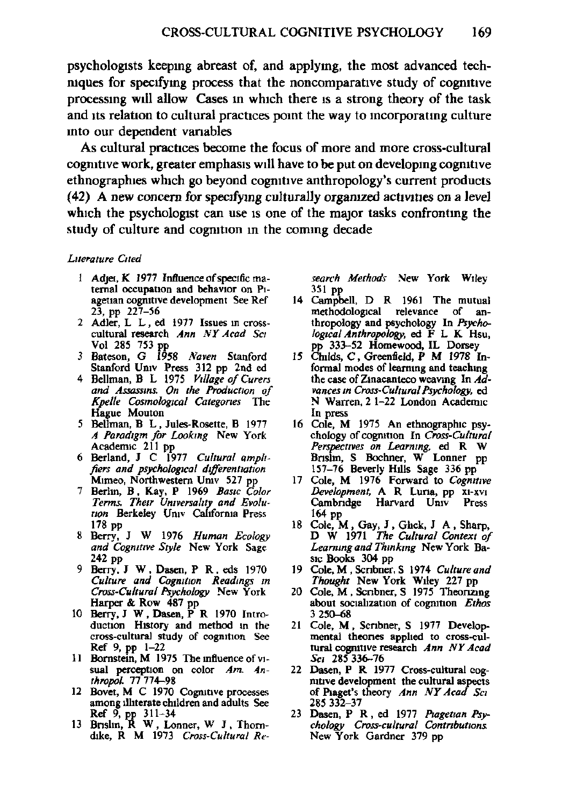psychologists keeping abreast of, and applying, the most advanced techmques for specifying process that the noncomparative study of cognitive processing will allow Cases in which there is a strong theory of the task and its relation to cultural practices point the way to incorporating culture into our dependent variables

As cultural practices become the focus of more and more cross-cultural cognitive work, greater emphasis will have to be put on developing cognitive ethnographies which go beyond cognitive anthropology's current products (42) A new concern for specifying culturally organized activities on a level which the psychologist can use is one of the major tasks confronting the study of culture and cognition in the coming decade

#### Literature Cited

- 1 Adjei, K 1977 Influence of specific maternal occupation and behavior on Piagetian cognitive development See Ref
- 23, pp 227-56<br>2 Adler, L L, ed 1977 Issues in cross-<br>cultural research Ann NY Acad Sci Vol 285 753 pp
- 3 Bateson, G 1958 Naven Stanford Stanford Univ Press 312 pp 2nd ed
- 4 Bellman, B L 1975 Village of Curers and Assassins. On the Production of Kpelle Cosmological Categories The Hague Mouton
- 5 Bellman, B L, Jules-Rosette, B 1977<br>A Paradigm for Looking New York Academic 211 pp<br>6 Berland, J C 1977 Cultural ampli-
- fiers and psychological differentiation Mimeo, Northwestern Univ 527 pp
- 7 Berlin, B., Kay, P 1969 Basic Color Terms. Their Universality and Evolution Berkeley Univ California Press 178 pp
- 8 Berry, J W 1976 Human Ecology and Cognitive Style New York Sage 242 pp
- 9 Berry, J W, Dasen, P R, eds 1970<br>Culture and Cognition Readings in Cross-Cultural Psychology New York Harper & Row 487 pp
- 10 Berry, J W, Dasen, P R 1970 Introduction History and method in the cross-cultural study of cognition See Ref 9, pp 1-22
- 11 Bornstein, M 1975 The influence of visual perception on color Am. Anthropol 77 774-98
- 12 Bovet, M C 1970 Cognitive processes among illiterate children and adults See Ref 9, pp 311-34<br>13 Brislin, R W, Lonner, W J, Thorn-
- dike, R M 1973 Cross-Cultural Re-

search Methods New York Wiley 351 pp

- 14 Campbell, D R 1961 The mutual methodological relevance of an-<br>thropology and psychology In Psychological Anthropology, ed F L K Hsu, pp 333-52 Homewood, IL Dorsey
- 15 Childs, C, Greenfield, P M 1978 Informal modes of learning and teaching the case of Zanacanteco weaving In Advances in Cross-Cultural Psychology, ed N Warren, 2 1-22 London Academic In press
- 16 Cole, M 1975 An ethnographic psychology of cognition In Cross-Cultural Perspectives on Learning, ed R W<br>Brislin, S Bochner, W Lonner pp<br>157–76 Beverly Hills Sage 336 pp
- 17 Cole, M 1976 Forward to Cognitive Development, A R Luria, pp XI-XVI Cambridge Harvard Univ Press 164 pp
- 18 Cole, M, Gay, J, Ghck, J A, Sharp, D W 1971 The Cultural Context of Learning and Thinking New York Basic Books 304 pp
- 19 Cole, M., Scribner, S. 1974 Culture and<br>Thought New York Wiley 227 pp<br>20 Cole, M., Scribner, S. 1975 Theorizing
- about socialization of cognition Ethos 3 250-68
- 21 Cole, M, Scribner, S 1977 Developmental theories applied to cross-cultural cognitive research Ann NY Acad  $Sc$ <sub>1</sub> 285 336 - 76
- 22 Dasen, P R 1977 Cross-cultural cognitive development the cultural aspects of Piaget's theory Ann NY Acad Sci 285 332-37
- 23 Dasen, P R, ed 1977 Pragetian Psy-<br>chology Cross-cultural Contributions. New York Gardner 379 pp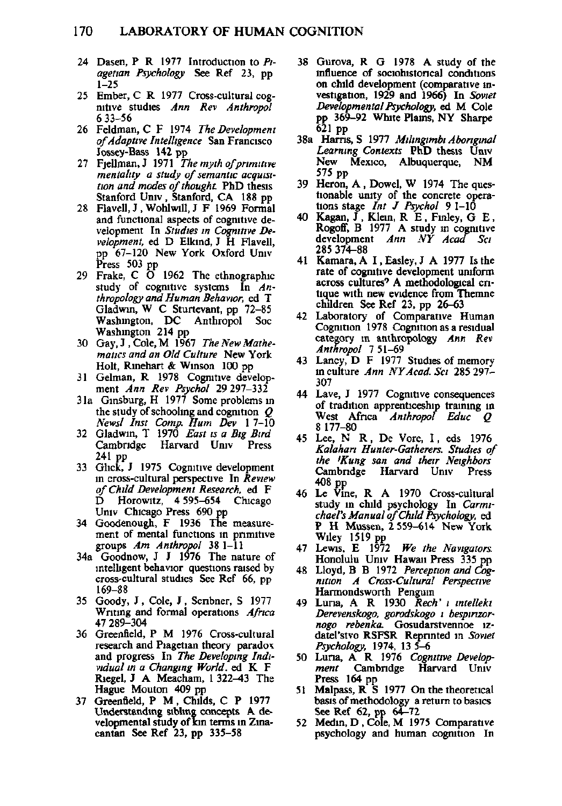- 24 Dasen, P R 1977 Introduction to  $P_1$ agetian Psychology See Ref 23, pp  $1 - 25$
- 25 Ember, C R 1977 Cross-cultural cognitive studies Ann Rev Anthropol 633-56
- 26 Feldman, C F 1974 The Development of Adaptive Intelligence San Francisco Jossey-Bass 142 pp
- 27 Fjellman, J 1971 The myth of primitive mentality a study of semantic acquisition and modes of thought. PhD thesis Stanford Univ, Stanford, CA 188 pp
- 28 Flavell, J, Wohlwill, J F 1969 Formal and functional aspects of cognitive development In Studies in Cognitive Development, ed D Elkind, J H Flavell, pp 67-120 New York Oxford Univ Press 503 pp
- 29 Frake, C O 1962 The ethnographic study of cognitive systems  $\ln$  *An*thropology and Human Behavior, ed T Gladwin, W C Sturtevant, pp 72-85 Washington, DC Anthropol Soc Washington 214 pp
- 30 Gay, J, Cole, M 1967 The New Mathematics and an Old Culture New York Holt, Rinehart & Winson 100 pp
- 31 Gelman, R 1978 Cognitive development Ann Rev Psychol 29 297-332
- 31a Ginsburg, H 1977 Some problems in the study of schooling and cognition  $Q$ Newsl Inst Comp. Hum Dev 17-10
- 32 Gladwin, T 1970 East is a Big Bird Cambridge Harvard Univ **Press** 241 pp
- 33 Glick, J 1975 Cognitive development in cross-cultural perspective In Review of Child Development Research, ed F Horowitz, 4 595-654 Chicago Ď Univ Chicago Press 690 pp
- 34 Goodenough, F 1936 The measurement of mental functions in primitive groups Am Anthropol 38 1-11
- 34a Goodnow, J J 1976 The nature of intelligent behavior questions raised by cross-cultural studies See Ref 66, pp 169-88
- 35 Goody, J, Cole, J, Scribner, S 1977 Writing and formal operations Africa 47 289–304
- 36 Greenfield, P M 1976 Cross-cultural research and Piagetian theory paradox and progress In The Developing Individual in a Changing World. ed K F Riegel, J A Meacham, 1322-43 The Hague Mouton 409 pp
- 37 Greenfield, P M, Childs, C P 1977 Understanding sibling concepts A developmental study of kin terms in Zinacantan See Ref 23, pp 335–58
- 38 Gurova, R G 1978 A study of the influence of sociohistorical conditions on child development (comparative investigation, 1929 and 1966) In Soviet Developmental Psychology, ed M Cole pp 369-92 White Plains, NY Sharpe 621 pp
- 38a Harris, S 1977 Milingimbi Aboriginal Learning Contexts PhD thesis Univ New Mexico, Albuquerque, NM 575 pp
- 39 Heron, A, Dowel, W 1974 The questionable unity of the concrete operations stage  $Int\ J\ Psychol\ 91-10$
- 40 Kagan, J. Klein, R. E. Finley, G. E. Rogoff, B 1977 A study in cognitive<br>development Ann NY Acad Sci 285 374–88
- 41 Kamara, A I, Easley, J A 1977 Is the rate of cognitive development uniform across cultures? A methodological critique with new evidence from Themne children See Ref 23, pp 26-63
- 42 Laboratory of Comparative Human Cognition 1978 Cognition as a residual category in anthropology Ann Rev Anthropol 7 51-69<br>43 Lancy, D F 1977 Studies of memory
- in culture Ann NY Acad. Sci 285 297-307
- 44 Lave, J 1977 Cognitive consequences of tradition apprenticeship training in West Africa Anthropol Educ  $\boldsymbol{o}$ 8 177–80
- 45 Lee, N R, De Vore, I, eds 1976 Kalaharı Hunter-Gatherers. Studies of the 'Kung san and their Neighbors Cambridge Harvard Univ Press 408 pp
- 46 Le Vine, R A 1970 Cross-cultural study in child psychology In Carmichael's Manual of Child Psychology, ed P H Mussen, 2559–614 New York Wiley 1519 pp<br>47 Lewis, E 1972 We the Navigators.
- Honolulu Univ Hawaii Press 335 pp
- 48 Lloyd, B B 1972 Perception and Cognition A Cross-Cultural Perspective Harmondsworth Pengum
- 49 Luria, A R 1930 Rech' i intellekt Derevenskogo, gorodskogo i bespirizornogo rebenka. Gosudarstvennoe 1zdatel'stvo RSFSR Reprinted in Soviet Psychology, 1974, 13 5–6
- 50 Luria, A R 1976 Cognitive Develop-Cambridge Harvard Univ ment Press 164 pp
- 51 Malpass, R S 1977 On the theoretical basis of methodology a return to basics See Ref 62, pp 64-72
- 52 Medin, D, Cole, M 1975 Comparative psychology and human cognition In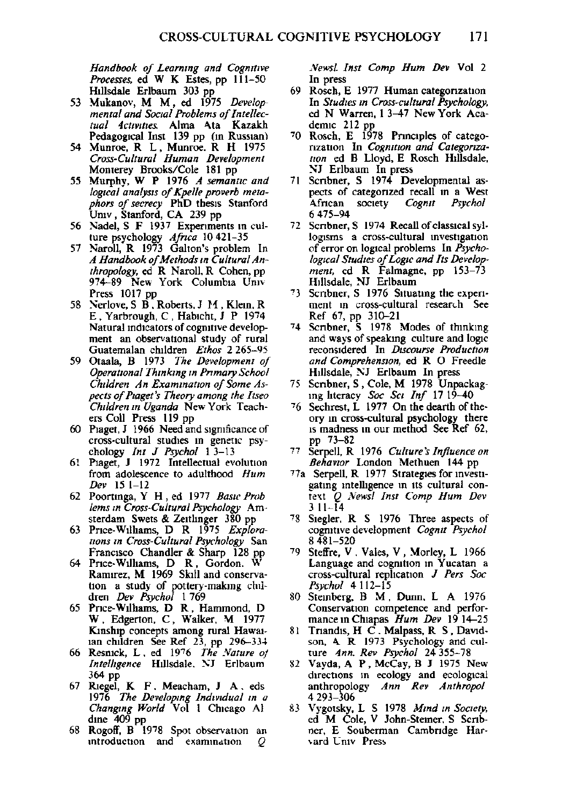Handbook of Learning and Cognitive Processes, ed W K Estes, pp 111-50 Hillsdale Erlbaum 303 pp

- 53 Mukanov, M M, ed 1975 Developmental and Social Problems of Intellectual Activities. Alma Ata Kazakh Pedagogical Inst 139 pp (in Russian)
- 54 Munroe, R L, Munroe. R H 1975 Cross-Cultural Human Development Monterey Brooks/Cole 181 pp
- 55 Murphy, W P 1976 A semantic and logical analysis of Kpelle proverb metaphors of secrecy PhD thesis Stanford Univ. Stanford, CA 239 pp
- 56 Nadel, S F 1937 Experiments in culture psychology Africa 10421-35
- Naroll, R 1973 Galton's problem In 57. A Handbook of Methods in Cultural Anthropology, ed R Naroll, R Cohen, pp 974–89 New York Columbia Univ Press 1017 pp
- 58 Nerlove, S B, Roberts, J M, Klein, R E, Yarbrough, C, Habicht, J P 1974 Natural indicators of cognitive development an observational study of rural Guatemalan children Ethos 2 265-95
- 59 Otaala, B 1973 The Development of Operational Thinking in Primary School Children An Examination of Some Aspects of Piaget's Theory among the Itseo Children in Uganda New York Teachers Coll Press 119 pp
- 60 Piaget, J 1966 Need and significance of cross-cultural studies in genetic psychology Int J Psychol 13-13
- 61 Piaget, J 1972 Intellectual evolution from adolescence to adulthood *Hum* Dev 15 1-12
- 62 Poortinga, Y H, ed 1977 Basic Prob lems in Cross-Cultural Psychology Amsterdam Swets & Zeitlinger 380 pp
- 63 Price-Williams, D R 1975 Explorations in Cross-Cultural Psychology San Francisco Chandler & Sharp 128 pp
- 64 Price-Williams, D R, Gordon. W Ramirez, M 1969 Skill and conservation a study of pottery-making chil-<br>dren Dev Psychol 1769
- 65 Price-Williams, D R, Hammond, D W. Edgerton, C. Walker, M 1977 Kinship concepts among rural Hawaiian children See Ref 23, pp 296-334
- 66 Resnick, L. ed 1976 The Nature of *Intelligence* Hillsdale, NJ Erlbaum 364 pp
- 67 Riegel, K F. Meacham, J A. eds 1976 The Developing Individual in a Changing World Vol 1 Chicago Al dine 409 pp
- 68 Rogoff, B 1978 Spot observation an introduction and examination

Newsl. Inst Comp Hum Dev Vol 2 In press

- 69 Rosch, E 1977 Human categorization In Studies in Cross-cultural Psychology, ed N Warren, 1 3-47 New York Academic 212 pp<br>70 Rosch, E 1978 Principles of catego-
- rization In Cognition and Categorization ed B Lloyd, E Rosch Hillsdale, NJ Erlbaum In press
- 71 Scribner, S 1974 Developmental aspects of categorized recall in a West African society Cognit Psychol 6475-94
- 72 Scribner, S 1974 Recall of classical syllogisms a cross-cultural investigation of error on logical problems In Psychological Studies of Logic and Its Develop*ment*, ed R Falmagne, pp  $153-73$ Hillsdale, NJ Erlbaum
- 73 Scribner, S 1976 Situating the experiment in cross-cultural research. See Ref 67, pp 310-21
- 74 Scribner, S 1978 Modes of thinking and ways of speaking culture and logic reconsidered In Discourse Production and Comprehension, ed R O Freedle Hillsdale, NJ Erlbaum In press
- 75 Scribner, S., Cole, M 1978 Unpackaging literacy Soc Sci Inf 1719-40
- <sup>76</sup> Sechrest, L 1977 On the dearth of theory in cross-cultural psychology there is madness in our method See Ref 62, pp 73-82
- 77. Serpell, R 1976 Culture's Influence on Behavior London Methuen 144 pp
- 77a Serpell, R 1977 Strategies for investigating intelligence in its cultural context Q Newsl Inst Comp Hum Dev 3 1 1 - 14
- 78 Siegler, R S 1976 Three aspects of cognitive development Cognit Psychol 8 481–520
- 79 Steffre, V. Vales, V. Morley, L 1966 Language and cognition in Yucatan a cross-cultural replication J Pers Soc Psychol 4112-15
- 80 Steinberg, B M, Dunn, L A 1976 Conservation competence and performance in Chiapas *Hum Dev* 19 14–25
- 81 Triandis, H.C. Malpass, R.S., Davidson, A R 1973 Psychology and culture Ann. Rev Psychol 24 355-78
- 82 Vayda, A. P., McCay, B. J. 1975 New directions in ecology and ecological anthropology Ann Rev Anthropol 4 293–306
- 83 Vygotsky, L S 1978 Mind in Society, ed M Cole, V John-Steiner, S Scribner, E Souberman Cambridge Harvard Univ Press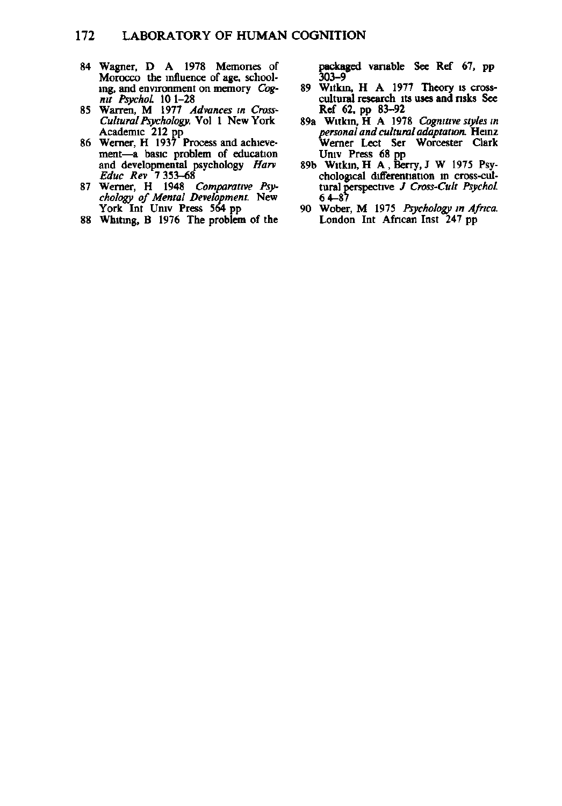- 84 Wagner, D A 1978 Memones of Morocco the mftuence of age, schoolmg, and environment on memory *Cogmt PsychoL* 10 1-28
- 85 Warren, M 1977 *Advances m Cross-Cultural Psychology,* Vol 1 New York Academic 212 pp
- 86 Werner, H 1937 Process and achievement-a basic problem of education and developmental psychology *Harv Educ Rev 1* 353-68
- 87 Werner, H 1948 *Comparative Psy-chology of Mental DevelopmenL* New York Int Umv Press 564 pp
- 88 Wb1tmg, **B** 1976 The problem of the

**packaged** vanable See Ref 67, pp 303-9

- 89 W1tkm, H A 1977 Theory 1s cross- cultural research tts uses and nsks See **Ref 62, pp 83-92**
- 89a Witkin, H A 1978 Cognitive styles in *personal and cultural adaptatwn.* Hemz Werner Leet Ser Worcester Clark
- Umv Press 68 pp 89b **W1tkm, H A, Berry, J W** 1975 **Psy**chological differentiation in cross-cultural perspective *J Cross-Cult Psychol*  64–87
- 90 Wober, M 1975 *Psychology m A/rtca.*  London Int Afncan Inst 247 pp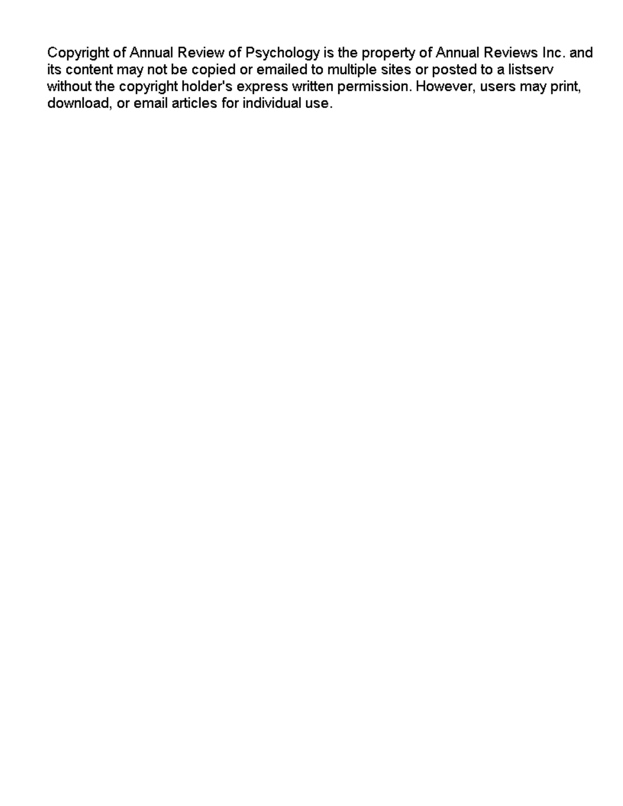Copyright of Annual Review of Psychology is the property of Annual Reviews Inc. and its content may not be copied or emailed to multiple sites or posted to a listserv without the copyright holder's express written permission. However, users may print, download, or email articles for individual use.